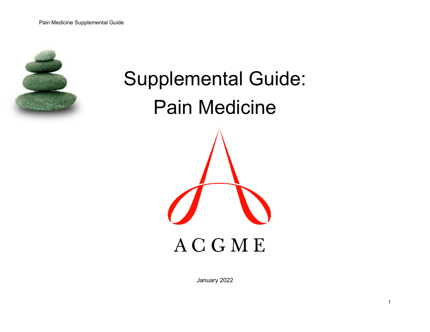

# Supplemental Guide: Pain Medicine **ACGME**

January 2022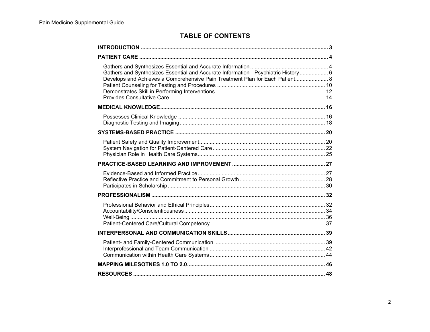# **TABLE OF CONTENTS**

| Gathers and Synthesizes Essential and Accurate Information - Psychiatric History 6<br>Develops and Achieves a Comprehensive Pain Treatment Plan for Each Patient 8 |  |
|--------------------------------------------------------------------------------------------------------------------------------------------------------------------|--|
|                                                                                                                                                                    |  |
|                                                                                                                                                                    |  |
|                                                                                                                                                                    |  |
|                                                                                                                                                                    |  |
|                                                                                                                                                                    |  |
|                                                                                                                                                                    |  |
|                                                                                                                                                                    |  |
|                                                                                                                                                                    |  |
|                                                                                                                                                                    |  |
|                                                                                                                                                                    |  |
|                                                                                                                                                                    |  |
|                                                                                                                                                                    |  |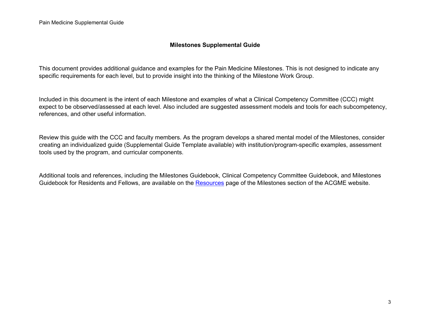### **Milestones Supplemental Guide**

This document provides additional guidance and examples for the Pain Medicine Milestones. This is not designed to indicate any specific requirements for each level, but to provide insight into the thinking of the Milestone Work Group.

Included in this document is the intent of each Milestone and examples of what a Clinical Competency Committee (CCC) might expect to be observed/assessed at each level. Also included are suggested assessment models and tools for each subcompetency, references, and other useful information.

Review this guide with the CCC and faculty members. As the program develops a shared mental model of the Milestones, consider creating an individualized guide (Supplemental Guide Template available) with institution/program-specific examples, assessment tools used by the program, and curricular components.

Additional tools and references, including the Milestones Guidebook, Clinical Competency Committee Guidebook, and Milestones Guidebook for Residents and Fellows, are available on the [Resources](https://www.acgme.org/What-We-Do/Accreditation/Milestones/Resources) page of the Milestones section of the ACGME website.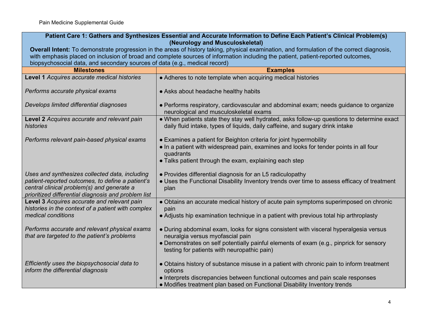| Patient Care 1: Gathers and Synthesizes Essential and Accurate Information to Define Each Patient's Clinical Problem(s)<br>(Neurology and Musculoskeletal)                                              |                                                                                                                                                                                                                                                                     |
|---------------------------------------------------------------------------------------------------------------------------------------------------------------------------------------------------------|---------------------------------------------------------------------------------------------------------------------------------------------------------------------------------------------------------------------------------------------------------------------|
| Overall Intent: To demonstrate progression in the areas of history taking, physical examination, and formulation of the correct diagnosis,                                                              |                                                                                                                                                                                                                                                                     |
|                                                                                                                                                                                                         | with emphasis placed on inclusion of broad and complete sources of information including the patient, patient-reported outcomes,                                                                                                                                    |
| biopsychosocial data, and secondary sources of data (e.g., medical record)                                                                                                                              |                                                                                                                                                                                                                                                                     |
| <b>Milestones</b>                                                                                                                                                                                       | <b>Examples</b>                                                                                                                                                                                                                                                     |
| Level 1 Acquires accurate medical histories                                                                                                                                                             | • Adheres to note template when acquiring medical histories                                                                                                                                                                                                         |
| Performs accurate physical exams                                                                                                                                                                        | • Asks about headache healthy habits                                                                                                                                                                                                                                |
| Develops limited differential diagnoses                                                                                                                                                                 | • Performs respiratory, cardiovascular and abdominal exam; needs guidance to organize<br>neurological and musculoskeletal exams                                                                                                                                     |
| Level 2 Acquires accurate and relevant pain<br>histories                                                                                                                                                | • When patients state they stay well hydrated, asks follow-up questions to determine exact<br>daily fluid intake, types of liquids, daily caffeine, and sugary drink intake                                                                                         |
| Performs relevant pain-based physical exams                                                                                                                                                             | • Examines a patient for Beighton criteria for joint hypermobility<br>. In a patient with widespread pain, examines and looks for tender points in all four<br>quadrants<br>• Talks patient through the exam, explaining each step                                  |
| Uses and synthesizes collected data, including<br>patient-reported outcomes, to define a patient's<br>central clinical problem(s) and generate a<br>prioritized differential diagnosis and problem list | • Provides differential diagnosis for an L5 radiculopathy<br>. Uses the Functional Disability Inventory trends over time to assess efficacy of treatment<br>plan                                                                                                    |
| Level 3 Acquires accurate and relevant pain<br>histories in the context of a patient with complex<br>medical conditions                                                                                 | • Obtains an accurate medical history of acute pain symptoms superimposed on chronic<br>pain<br>• Adjusts hip examination technique in a patient with previous total hip arthroplasty                                                                               |
| Performs accurate and relevant physical exams<br>that are targeted to the patient's problems                                                                                                            | . During abdominal exam, looks for signs consistent with visceral hyperalgesia versus<br>neuralgia versus myofascial pain<br>• Demonstrates on self potentially painful elements of exam (e.g., pinprick for sensory<br>testing for patients with neuropathic pain) |
| Efficiently uses the biopsychosocial data to<br>inform the differential diagnosis                                                                                                                       | • Obtains history of substance misuse in a patient with chronic pain to inform treatment<br>options<br>• Interprets discrepancies between functional outcomes and pain scale responses<br>• Modifies treatment plan based on Functional Disability Inventory trends |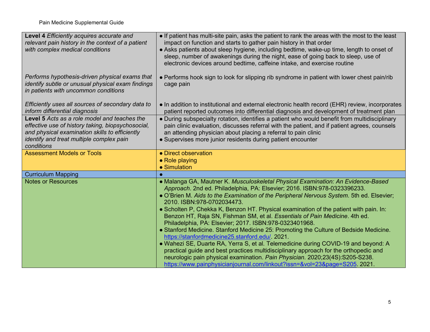| Level 4 Efficiently acquires accurate and<br>relevant pain history in the context of a patient<br>with complex medical conditions                                                                             | • If patient has multi-site pain, asks the patient to rank the areas with the most to the least<br>impact on function and starts to gather pain history in that order<br>• Asks patients about sleep hygiene, including bedtime, wake-up time, length to onset of<br>sleep, number of awakenings during the night, ease of going back to sleep, use of<br>electronic devices around bedtime, caffeine intake, and exercise routine                                                                                                                                                                                                                                                                                                                                                                                                                                                                                                                                                                               |
|---------------------------------------------------------------------------------------------------------------------------------------------------------------------------------------------------------------|------------------------------------------------------------------------------------------------------------------------------------------------------------------------------------------------------------------------------------------------------------------------------------------------------------------------------------------------------------------------------------------------------------------------------------------------------------------------------------------------------------------------------------------------------------------------------------------------------------------------------------------------------------------------------------------------------------------------------------------------------------------------------------------------------------------------------------------------------------------------------------------------------------------------------------------------------------------------------------------------------------------|
| Performs hypothesis-driven physical exams that<br>identify subtle or unusual physical exam findings<br>in patients with uncommon conditions                                                                   | • Performs hook sign to look for slipping rib syndrome in patient with lower chest pain/rib<br>cage pain                                                                                                                                                                                                                                                                                                                                                                                                                                                                                                                                                                                                                                                                                                                                                                                                                                                                                                         |
| Efficiently uses all sources of secondary data to<br>inform differential diagnosis                                                                                                                            | • In addition to institutional and external electronic health record (EHR) review, incorporates<br>patient reported outcomes into differential diagnosis and development of treatment plan                                                                                                                                                                                                                                                                                                                                                                                                                                                                                                                                                                                                                                                                                                                                                                                                                       |
| Level 5 Acts as a role model and teaches the<br>effective use of history taking, biopsychosocial,<br>and physical examination skills to efficiently<br>identify and treat multiple complex pain<br>conditions | • During subspecialty rotation, identifies a patient who would benefit from multidisciplinary<br>pain clinic evaluation, discusses referral with the patient, and if patient agrees, counsels<br>an attending physician about placing a referral to pain clinic<br>• Supervises more junior residents during patient encounter                                                                                                                                                                                                                                                                                                                                                                                                                                                                                                                                                                                                                                                                                   |
| <b>Assessment Models or Tools</b>                                                                                                                                                                             | • Direct observation<br>• Role playing<br>• Simulation                                                                                                                                                                                                                                                                                                                                                                                                                                                                                                                                                                                                                                                                                                                                                                                                                                                                                                                                                           |
| <b>Curriculum Mapping</b>                                                                                                                                                                                     |                                                                                                                                                                                                                                                                                                                                                                                                                                                                                                                                                                                                                                                                                                                                                                                                                                                                                                                                                                                                                  |
| <b>Notes or Resources</b>                                                                                                                                                                                     | • Malanga GA, Mautner K. Musculoskeletal Physical Examination: An Evidence-Based<br>Approach. 2nd ed. Philadelphia, PA: Elsevier; 2016. ISBN:978-0323396233.<br>. O'Brien M. Aids to the Examination of the Peripheral Nervous System. 5th ed. Elsevier;<br>2010. ISBN:978-0702034473.<br>• Scholten P, Chekka K, Benzon HT. Physical examination of the patient with pain. In:<br>Benzon HT, Raja SN, Fishman SM, et al. Essentials of Pain Medicine. 4th ed.<br>Philadelphia, PA: Elsevier; 2017. ISBN:978-0323401968.<br>• Stanford Medicine. Stanford Medicine 25: Promoting the Culture of Bedside Medicine.<br>https://stanfordmedicine25.stanford.edu/. 2021.<br>. Wahezi SE, Duarte RA, Yerra S, et al. Telemedicine during COVID-19 and beyond: A<br>practical quide and best practices multidisciplinary approach for the orthopedic and<br>neurologic pain physical examination. Pain Physician. 2020;23(4S):S205-S238.<br>https://www.painphysicianjournal.com/linkout?issn=&vol=23&page=S205. 2021. |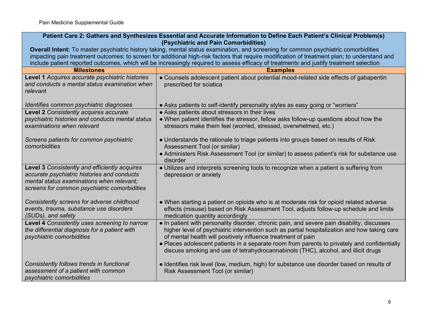| Patient Care 2: Gathers and Synthesizes Essential and Accurate Information to Define Each Patient's Clinical Problem(s)<br>(Psychiatric and Pain Comorbidities)                           |                                                                                                                                                                                                                                                                                                                                                                                                                                                   |
|-------------------------------------------------------------------------------------------------------------------------------------------------------------------------------------------|---------------------------------------------------------------------------------------------------------------------------------------------------------------------------------------------------------------------------------------------------------------------------------------------------------------------------------------------------------------------------------------------------------------------------------------------------|
|                                                                                                                                                                                           | Overall Intent: To master psychiatric history taking, mental status examination, and screening for common psychiatric comorbidities<br>impacting pain treatment outcomes; to screen for additional high-risk factors that require modification of treatment plan; to understand and                                                                                                                                                               |
|                                                                                                                                                                                           | include patient reported outcomes, which will be increasingly required to assess efficacy of treatments and justify treatment selection                                                                                                                                                                                                                                                                                                           |
| <b>Milestones</b>                                                                                                                                                                         | <b>Examples</b>                                                                                                                                                                                                                                                                                                                                                                                                                                   |
| Level 1 Acquires accurate psychiatric histories<br>and conducts a mental status examination when<br>relevant                                                                              | • Counsels adolescent patient about potential mood-related side effects of gabapentin<br>prescribed for sciatica                                                                                                                                                                                                                                                                                                                                  |
| Identifies common psychiatric diagnoses                                                                                                                                                   | • Asks patients to self-identify personality styles as easy going or "worriers"                                                                                                                                                                                                                                                                                                                                                                   |
| Level 2 Consistently acquires accurate<br>psychiatric histories and conducts mental status<br>examinations when relevant                                                                  | • Asks patients about stressors in their lives<br>• When patient identifies the stressor, fellow asks follow-up questions about how the<br>stressors make them feel (worried, stressed, overwhelmed, etc.)                                                                                                                                                                                                                                        |
| Screens patients for common psychiatric<br>comorbidities                                                                                                                                  | • Understands the rationale to triage patients into groups based on results of Risk<br>Assessment Tool (or similar)<br>• Administers Risk Assessment Tool (or similar) to assess patient's risk for substance use<br>disorder                                                                                                                                                                                                                     |
| Level 3 Consistently and efficiently acquires<br>accurate psychiatric histories and conducts<br>mental status examinations when relevant;<br>screens for common psychiatric comorbidities | • Utilizes and interprets screening tools to recognize when a patient is suffering from<br>depression or anxiety                                                                                                                                                                                                                                                                                                                                  |
| Consistently screens for adverse childhood<br>events, trauma, substance use disorders<br>(SUDs), and safety                                                                               | • When starting a patient on opioids who is at moderate risk for opioid related adverse<br>effects (misuse) based on Risk Assessment Tool, adjusts follow-up schedule and limits<br>medication quantity accordingly                                                                                                                                                                                                                               |
| Level 4 Consistently uses screening to narrow<br>the differential diagnosis for a patient with<br>psychiatric comorbidities                                                               | • In patient with personality disorder, chronic pain, and severe pain disability, discusses<br>higher level of psychiatric intervention such as partial hospitalization and how taking care<br>of mental health will positively influence treatment of pain<br>. Places adolescent patients in a separate room from parents to privately and confidentially<br>discuss smoking and use of tetrahydrocannabinols (THC), alcohol, and illicit drugs |
| Consistently follows trends in functional<br>assessment of a patient with common<br>psychiatric comorbidities                                                                             | • Identifies risk level (low, medium, high) for substance use disorder based on results of<br>Risk Assessment Tool (or similar)                                                                                                                                                                                                                                                                                                                   |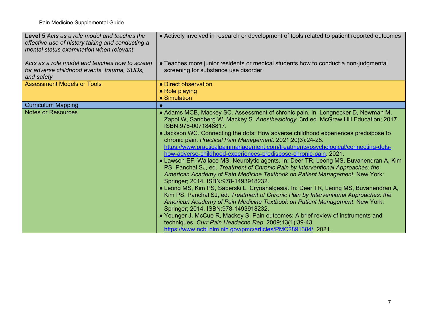| Level 5 Acts as a role model and teaches the<br>effective use of history taking and conducting a<br>mental status examination when relevant | • Actively involved in research or development of tools related to patient reported outcomes                                                                                                                                                                                                                                                                                                                                                                                                                                                                                                                                                                                                                                                                                                                                                                                                                                                                                                                                                                                                                                                                                                                                                                                                                                      |
|---------------------------------------------------------------------------------------------------------------------------------------------|-----------------------------------------------------------------------------------------------------------------------------------------------------------------------------------------------------------------------------------------------------------------------------------------------------------------------------------------------------------------------------------------------------------------------------------------------------------------------------------------------------------------------------------------------------------------------------------------------------------------------------------------------------------------------------------------------------------------------------------------------------------------------------------------------------------------------------------------------------------------------------------------------------------------------------------------------------------------------------------------------------------------------------------------------------------------------------------------------------------------------------------------------------------------------------------------------------------------------------------------------------------------------------------------------------------------------------------|
| Acts as a role model and teaches how to screen<br>for adverse childhood events, trauma, SUDs,<br>and safety                                 | • Teaches more junior residents or medical students how to conduct a non-judgmental<br>screening for substance use disorder                                                                                                                                                                                                                                                                                                                                                                                                                                                                                                                                                                                                                                                                                                                                                                                                                                                                                                                                                                                                                                                                                                                                                                                                       |
| <b>Assessment Models or Tools</b>                                                                                                           | • Direct observation                                                                                                                                                                                                                                                                                                                                                                                                                                                                                                                                                                                                                                                                                                                                                                                                                                                                                                                                                                                                                                                                                                                                                                                                                                                                                                              |
|                                                                                                                                             | • Role playing<br>• Simulation                                                                                                                                                                                                                                                                                                                                                                                                                                                                                                                                                                                                                                                                                                                                                                                                                                                                                                                                                                                                                                                                                                                                                                                                                                                                                                    |
| <b>Curriculum Mapping</b>                                                                                                                   |                                                                                                                                                                                                                                                                                                                                                                                                                                                                                                                                                                                                                                                                                                                                                                                                                                                                                                                                                                                                                                                                                                                                                                                                                                                                                                                                   |
| <b>Notes or Resources</b>                                                                                                                   | • Adams MCB, Mackey SC. Assessment of chronic pain. In: Longnecker D, Newman M,<br>Zapol W, Sandberg W, Mackey S. Anesthesiology. 3rd ed. McGraw Hill Education; 2017.<br>ISBN:978-0071848817.<br>• Jackson WC. Connecting the dots: How adverse childhood experiences predispose to<br>chronic pain. Practical Pain Management. 2021;20(3):24-28.<br>https://www.practicalpainmanagement.com/treatments/psychological/connecting-dots-<br>how-adverse-childhood-experiences-predispose-chronic-pain. 2021.<br>• Lawson EF, Wallace MS. Neurolytic agents. In: Deer TR, Leong MS, Buvanendran A, Kim<br>PS, Panchal SJ, ed. Treatment of Chronic Pain by Interventional Approaches: the<br>American Academy of Pain Medicine Textbook on Patient Management. New York:<br>Springer; 2014. ISBN:978-1493918232.<br>• Leong MS, Kim PS, Saberski L. Cryoanalgesia. In: Deer TR, Leong MS, Buvanendran A,<br>Kim PS, Panchal SJ, ed. Treatment of Chronic Pain by Interventional Approaches: the<br>American Academy of Pain Medicine Textbook on Patient Management. New York:<br>Springer; 2014. ISBN:978-1493918232.<br>• Younger J, McCue R, Mackey S. Pain outcomes: A brief review of instruments and<br>techniques. Curr Pain Headache Rep. 2009;13(1):39-43.<br>https://www.ncbi.nlm.nih.gov/pmc/articles/PMC2891384/. 2021. |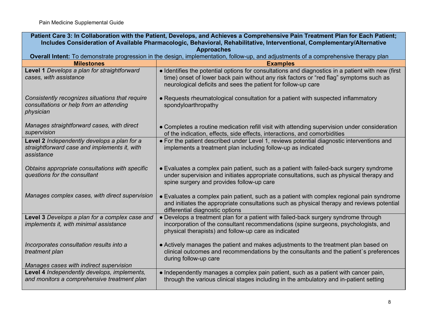| Patient Care 3: In Collaboration with the Patient, Develops, and Achieves a Comprehensive Pain Treatment Plan for Each Patient;<br>Includes Consideration of Available Pharmacologic, Behavioral, Rehabilitative, Interventional, Complementary/Alternative |                                                                                                                                                                                                                                                              |
|-------------------------------------------------------------------------------------------------------------------------------------------------------------------------------------------------------------------------------------------------------------|--------------------------------------------------------------------------------------------------------------------------------------------------------------------------------------------------------------------------------------------------------------|
| <b>Approaches</b>                                                                                                                                                                                                                                           |                                                                                                                                                                                                                                                              |
|                                                                                                                                                                                                                                                             | Overall Intent: To demonstrate progression in the design, implementation, follow-up, and adjustments of a comprehensive therapy plan                                                                                                                         |
| <b>Milestones</b>                                                                                                                                                                                                                                           | <b>Examples</b>                                                                                                                                                                                                                                              |
| Level 1 Develops a plan for straightforward<br>cases, with assistance                                                                                                                                                                                       | • Identifies the potential options for consultations and diagnostics in a patient with new (first<br>time) onset of lower back pain without any risk factors or "red flag" symptoms such as<br>neurological deficits and sees the patient for follow-up care |
| Consistently recognizes situations that require<br>consultations or help from an attending<br>physician                                                                                                                                                     | • Requests rheumatological consultation for a patient with suspected inflammatory<br>spondyloarthropathy                                                                                                                                                     |
| Manages straightforward cases, with direct<br>supervision                                                                                                                                                                                                   | • Completes a routine medication refill visit with attending supervision under consideration<br>of the indication, effects, side effects, interactions, and comorbidities                                                                                    |
| Level 2 Independently develops a plan for a<br>straightforward case and implements it, with<br>assistance                                                                                                                                                   | • For the patient described under Level 1, reviews potential diagnostic interventions and<br>implements a treatment plan including follow-up as indicated                                                                                                    |
| Obtains appropriate consultations with specific<br>questions for the consultant                                                                                                                                                                             | • Evaluates a complex pain patient, such as a patient with failed-back surgery syndrome<br>under supervision and initiates appropriate consultations, such as physical therapy and<br>spine surgery and provides follow-up care                              |
| Manages complex cases, with direct supervision                                                                                                                                                                                                              | • Evaluates a complex pain patient, such as a patient with complex regional pain syndrome<br>and initiates the appropriate consultations such as physical therapy and reviews potential<br>differential diagnostic options                                   |
| Level 3 Develops a plan for a complex case and<br>implements it, with minimal assistance                                                                                                                                                                    | • Develops a treatment plan for a patient with failed-back surgery syndrome through<br>incorporation of the consultant recommendations (spine surgeons, psychologists, and<br>physical therapists) and follow-up care as indicated                           |
| Incorporates consultation results into a<br>treatment plan<br>Manages cases with indirect supervision                                                                                                                                                       | • Actively manages the patient and makes adjustments to the treatment plan based on<br>clinical outcomes and recommendations by the consultants and the patient's preferences<br>during follow-up care                                                       |
| Level 4 Independently develops, implements,<br>and monitors a comprehensive treatment plan                                                                                                                                                                  | • Independently manages a complex pain patient, such as a patient with cancer pain,<br>through the various clinical stages including in the ambulatory and in-patient setting                                                                                |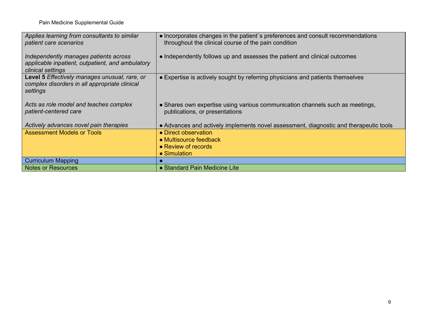| Applies learning from consultants to similar<br>patient care scenarios                                         | • Incorporates changes in the patient's preferences and consult recommendations<br>throughout the clinical course of the pain condition |
|----------------------------------------------------------------------------------------------------------------|-----------------------------------------------------------------------------------------------------------------------------------------|
| Independently manages patients across<br>applicable inpatient, outpatient, and ambulatory<br>clinical settings | • Independently follows up and assesses the patient and clinical outcomes                                                               |
| Level 5 Effectively manages unusual, rare, or<br>complex disorders in all appropriate clinical<br>settings     | • Expertise is actively sought by referring physicians and patients themselves                                                          |
| Acts as role model and teaches complex<br>patient-centered care                                                | • Shares own expertise using various communication channels such as meetings,<br>publications, or presentations                         |
| Actively advances novel pain therapies                                                                         | • Advances and actively implements novel assessment, diagnostic and therapeutic tools                                                   |
| <b>Assessment Models or Tools</b>                                                                              | • Direct observation                                                                                                                    |
|                                                                                                                | • Multisource feedback                                                                                                                  |
|                                                                                                                | • Review of records                                                                                                                     |
|                                                                                                                | • Simulation                                                                                                                            |
| <b>Curriculum Mapping</b>                                                                                      |                                                                                                                                         |
| <b>Notes or Resources</b>                                                                                      | • Standard Pain Medicine Lite                                                                                                           |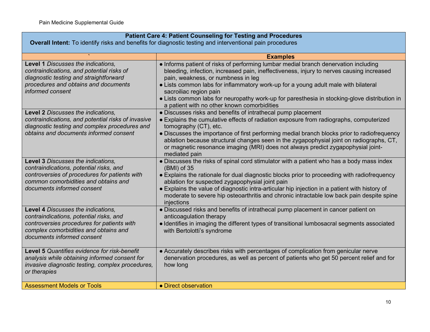| <b>Patient Care 4: Patient Counseling for Testing and Procedures</b><br><b>Overall Intent:</b> To identify risks and benefits for diagnostic testing and interventional pain procedures              |                                                                                                                                                                                                                                                                                                                                                                                                                                                                                      |
|------------------------------------------------------------------------------------------------------------------------------------------------------------------------------------------------------|--------------------------------------------------------------------------------------------------------------------------------------------------------------------------------------------------------------------------------------------------------------------------------------------------------------------------------------------------------------------------------------------------------------------------------------------------------------------------------------|
|                                                                                                                                                                                                      | <b>Examples</b>                                                                                                                                                                                                                                                                                                                                                                                                                                                                      |
| Level 1 Discusses the indications,<br>contraindications, and potential risks of<br>diagnostic testing and straightforward<br>procedures and obtains and documents<br>informed consent                | • Informs patient of risks of performing lumbar medial branch denervation including<br>bleeding, infection, increased pain, ineffectiveness, injury to nerves causing increased<br>pain, weakness, or numbness in leg<br>• Lists common labs for inflammatory work-up for a young adult male with bilateral<br>sacroiliac region pain<br>• Lists common labs for neuropathy work-up for paresthesia in stocking-glove distribution in<br>a patient with no other known comorbidities |
| Level 2 Discusses the indications,<br>contraindications, and potential risks of invasive<br>diagnostic testing and complex procedures and<br>obtains and documents informed consent                  | • Discusses risks and benefits of intrathecal pump placement<br>• Explains the cumulative effects of radiation exposure from radiographs, computerized<br>tomography (CT), etc.<br>• Discusses the importance of first performing medial branch blocks prior to radiofrequency<br>ablation because structural changes seen in the zygapophysial joint on radiographs, CT,<br>or magnetic resonance imaging (MRI) does not always predict zygapophysial joint-<br>mediated pain       |
| Level 3 Discusses the indications,<br>contraindications, potential risks, and<br>controversies of procedures for patients with<br>common comorbidities and obtains and<br>documents informed consent | • Discusses the risks of spinal cord stimulator with a patient who has a body mass index<br>$(BMI)$ of 35<br>• Explains the rationale for dual diagnostic blocks prior to proceeding with radiofrequency<br>ablation for suspected zygapophysial joint pain<br>• Explains the value of diagnostic intra-articular hip injection in a patient with history of<br>moderate to severe hip osteoarthritis and chronic intractable low back pain despite spine<br>injections              |
| Level 4 Discusses the indications,<br>contraindications, potential risks, and<br>controversies procedures for patients with<br>complex comorbidities and obtains and<br>documents informed consent   | • Discussed risks and benefits of intrathecal pump placement in cancer patient on<br>anticoagulation therapy<br>· Identifies in imaging the different types of transitional lumbosacral segments associated<br>with Bertolotti's syndrome                                                                                                                                                                                                                                            |
| Level 5 Quantifies evidence for risk-benefit<br>analysis while obtaining informed consent for<br>invasive diagnostic testing, complex procedures,<br>or therapies                                    | • Accurately describes risks with percentages of complication from genicular nerve<br>denervation procedures, as well as percent of patients who get 50 percent relief and for<br>how long                                                                                                                                                                                                                                                                                           |
| <b>Assessment Models or Tools</b>                                                                                                                                                                    | • Direct observation                                                                                                                                                                                                                                                                                                                                                                                                                                                                 |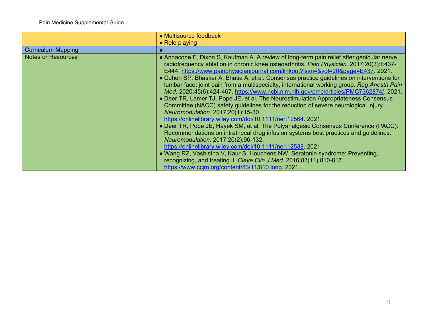|                           | • Multisource feedback                                                                                                                                                                                                                                                                                                                                                                                                                                                                                                                                                                                                                                                                                                                                                                                                                                                                                                                                                                                                                                                                                                                                                                                                                                                                                                                                |
|---------------------------|-------------------------------------------------------------------------------------------------------------------------------------------------------------------------------------------------------------------------------------------------------------------------------------------------------------------------------------------------------------------------------------------------------------------------------------------------------------------------------------------------------------------------------------------------------------------------------------------------------------------------------------------------------------------------------------------------------------------------------------------------------------------------------------------------------------------------------------------------------------------------------------------------------------------------------------------------------------------------------------------------------------------------------------------------------------------------------------------------------------------------------------------------------------------------------------------------------------------------------------------------------------------------------------------------------------------------------------------------------|
|                           | $\bullet$ Role playing                                                                                                                                                                                                                                                                                                                                                                                                                                                                                                                                                                                                                                                                                                                                                                                                                                                                                                                                                                                                                                                                                                                                                                                                                                                                                                                                |
| <b>Curriculum Mapping</b> |                                                                                                                                                                                                                                                                                                                                                                                                                                                                                                                                                                                                                                                                                                                                                                                                                                                                                                                                                                                                                                                                                                                                                                                                                                                                                                                                                       |
| <b>Notes or Resources</b> | • Annacone F, Dixon S, Kaufman A. A review of long-term pain relief after genicular nerve<br>radiofrequency ablation in chronic knee osteoarthritis. Pain Physician. 2017;20(3):E437-<br>E444. https://www.painphysicianjournal.com/linkout?issn=&vol=20&page=E437. 2021.<br>• Cohen SP, Bhaskar A, Bhatia A, et al. Consensus practice guidelines on interventions for<br>lumbar facet joint pain from a multispecialty, international working group. Reg Anesth Pain<br>Med. 2020;45(6):424-467. https://www.ncbi.nlm.nih.gov/pmc/articles/PMC7362874/. 2021.<br>• Deer TR, Lamer TJ, Pope JE, et al. The Neurostimulation Appropriateness Consensus<br>Committee (NACC) safety guidelines for the reduction of severe neurological injury.<br>Neuromodulation. 2017;20(1):15-30.<br>https://onlinelibrary.wiley.com/doi/10.1111/ner.12564.2021.<br>• Deer TR, Pope JE, Hayek SM, et al. The Polyanalgesic Consensus Conference (PACC):<br>Recommendations on intrathecal drug infusion systems best practices and guidelines.<br>Neuromodulation. 2017;20(2):96-132.<br>https://onlinelibrary.wiley.com/doi/10.1111/ner.12538. 2021.<br>• Wang RZ, Vashistha V, Kaur S, Houchens NW. Serotonin syndrome: Preventing,<br>recognizing, and treating it. Cleve Clin J Med. 2016;83(11):810-817.<br>https://www.ccjm.org/content/83/11/810.long. 2021. |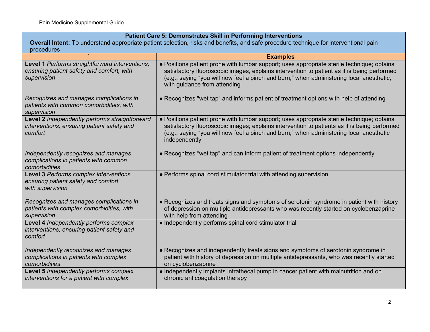| Patient Care 5: Demonstrates Skill in Performing Interventions                                                                                      |                                                                                                                                                                                                                                                                                                                       |
|-----------------------------------------------------------------------------------------------------------------------------------------------------|-----------------------------------------------------------------------------------------------------------------------------------------------------------------------------------------------------------------------------------------------------------------------------------------------------------------------|
| Overall Intent: To understand appropriate patient selection, risks and benefits, and safe procedure technique for interventional pain<br>procedures |                                                                                                                                                                                                                                                                                                                       |
|                                                                                                                                                     | <b>Examples</b>                                                                                                                                                                                                                                                                                                       |
| Level 1 Performs straightforward interventions,<br>ensuring patient safety and comfort, with<br>supervision                                         | • Positions patient prone with lumbar support; uses appropriate sterile technique; obtains<br>satisfactory fluoroscopic images, explains intervention to patient as it is being performed<br>(e.g., saying "you will now feel a pinch and burn," when administering local anesthetic,<br>with guidance from attending |
| Recognizes and manages complications in<br>patients with common comorbidities, with<br>supervision                                                  | • Recognizes "wet tap" and informs patient of treatment options with help of attending                                                                                                                                                                                                                                |
| Level 2 Independently performs straightforward<br>interventions, ensuring patient safety and<br>comfort                                             | • Positions patient prone with lumbar support; uses appropriate sterile technique; obtains<br>satisfactory fluoroscopic images; explains intervention to patients as it is being performed<br>(e.g., saying "you will now feel a pinch and burn," when administering local anesthetic<br>independently                |
| Independently recognizes and manages<br>complications in patients with common<br>comorbidities                                                      | • Recognizes "wet tap" and can inform patient of treatment options independently                                                                                                                                                                                                                                      |
| Level 3 Performs complex interventions,<br>ensuring patient safety and comfort,<br>with supervision                                                 | • Performs spinal cord stimulator trial with attending supervision                                                                                                                                                                                                                                                    |
| Recognizes and manages complications in<br>patients with complex comorbidities, with<br>supervision                                                 | • Recognizes and treats signs and symptoms of serotonin syndrome in patient with history<br>of depression on multiple antidepressants who was recently started on cyclobenzaprine<br>with help from attending                                                                                                         |
| Level 4 Independently performs complex<br>interventions, ensuring patient safety and<br>comfort                                                     | • Independently performs spinal cord stimulator trial                                                                                                                                                                                                                                                                 |
| Independently recognizes and manages<br>complications in patients with complex<br>comorbidities                                                     | • Recognizes and independently treats signs and symptoms of serotonin syndrome in<br>patient with history of depression on multiple antidepressants, who was recently started<br>on cyclobenzaprine                                                                                                                   |
| Level 5 Independently performs complex<br>interventions for a patient with complex                                                                  | • Independently implants intrathecal pump in cancer patient with malnutrition and on<br>chronic anticoagulation therapy                                                                                                                                                                                               |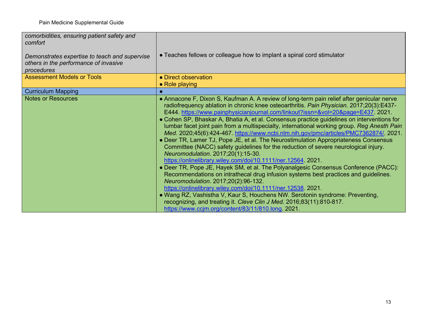| comorbidities, ensuring patient safety and<br>comfort<br>Demonstrates expertise to teach and supervise<br>others in the performance of invasive<br>procedures | • Teaches fellows or colleague how to implant a spinal cord stimulator                                                                                                                                                                                                                                                                                                                                                                                                                                                                                                                                                                                                                                                                                                                                                                                                                                                                                                                                                                                                                                                                                                                                                                                                                                                                               |
|---------------------------------------------------------------------------------------------------------------------------------------------------------------|------------------------------------------------------------------------------------------------------------------------------------------------------------------------------------------------------------------------------------------------------------------------------------------------------------------------------------------------------------------------------------------------------------------------------------------------------------------------------------------------------------------------------------------------------------------------------------------------------------------------------------------------------------------------------------------------------------------------------------------------------------------------------------------------------------------------------------------------------------------------------------------------------------------------------------------------------------------------------------------------------------------------------------------------------------------------------------------------------------------------------------------------------------------------------------------------------------------------------------------------------------------------------------------------------------------------------------------------------|
| <b>Assessment Models or Tools</b>                                                                                                                             | • Direct observation<br>$\bullet$ Role playing                                                                                                                                                                                                                                                                                                                                                                                                                                                                                                                                                                                                                                                                                                                                                                                                                                                                                                                                                                                                                                                                                                                                                                                                                                                                                                       |
| <b>Curriculum Mapping</b>                                                                                                                                     |                                                                                                                                                                                                                                                                                                                                                                                                                                                                                                                                                                                                                                                                                                                                                                                                                                                                                                                                                                                                                                                                                                                                                                                                                                                                                                                                                      |
| <b>Notes or Resources</b>                                                                                                                                     | • Annacone F, Dixon S, Kaufman A. A review of long-term pain relief after genicular nerve<br>radiofrequency ablation in chronic knee osteoarthritis. Pain Physician. 2017;20(3):E437-<br>E444. https://www.painphysicianjournal.com/linkout?issn=&vol=20&page=E437. 2021.<br>• Cohen SP, Bhaskar A, Bhatia A, et al. Consensus practice guidelines on interventions for<br>lumbar facet joint pain from a multispecialty, international working group. Reg Anesth Pain<br>Med. 2020;45(6):424-467 https://www.ncbi.nlm.nih.gov/pmc/articles/PMC7362874/ 2021.<br>• Deer TR, Lamer TJ, Pope JE, et al. The Neurostimulation Appropriateness Consensus<br>Committee (NACC) safety guidelines for the reduction of severe neurological injury.<br>Neuromodulation. 2017;20(1):15-30.<br>https://onlinelibrary.wiley.com/doi/10.1111/ner.12564. 2021.<br>• Deer TR, Pope JE, Hayek SM, et al. The Polyanalgesic Consensus Conference (PACC):<br>Recommendations on intrathecal drug infusion systems best practices and guidelines.<br>Neuromodulation. 2017;20(2):96-132.<br>https://onlinelibrary.wiley.com/doi/10.1111/ner.12538. 2021.<br>• Wang RZ, Vashistha V, Kaur S, Houchens NW. Serotonin syndrome: Preventing,<br>recognizing, and treating it. Cleve Clin J Med. 2016;83(11):810-817.<br>https://www.ccjm.org/content/83/11/810.long. 2021. |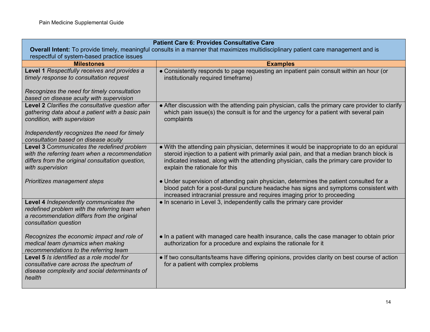| <b>Patient Care 6: Provides Consultative Care</b>                                                                                                                   |                                                                                                                                                                                                                                                                                                                           |
|---------------------------------------------------------------------------------------------------------------------------------------------------------------------|---------------------------------------------------------------------------------------------------------------------------------------------------------------------------------------------------------------------------------------------------------------------------------------------------------------------------|
| Overall Intent: To provide timely, meaningful consults in a manner that maximizes multidisciplinary patient care management and is                                  |                                                                                                                                                                                                                                                                                                                           |
| respectful of system-based practice issues                                                                                                                          |                                                                                                                                                                                                                                                                                                                           |
| <b>Milestones</b>                                                                                                                                                   | <b>Examples</b>                                                                                                                                                                                                                                                                                                           |
| Level 1 Respectfully receives and provides a<br>timely response to consultation request                                                                             | • Consistently responds to page requesting an inpatient pain consult within an hour (or<br>institutionally required timeframe)                                                                                                                                                                                            |
| Recognizes the need for timely consultation<br>based on disease acuity with supervision                                                                             |                                                                                                                                                                                                                                                                                                                           |
| Level 2 Clarifies the consultative question after<br>gathering data about a patient with a basic pain<br>condition, with supervision                                | • After discussion with the attending pain physician, calls the primary care provider to clarify<br>which pain issue(s) the consult is for and the urgency for a patient with several pain<br>complaints                                                                                                                  |
| Independently recognizes the need for timely<br>consultation based on disease acuity                                                                                |                                                                                                                                                                                                                                                                                                                           |
| Level 3 Communicates the redefined problem<br>with the referring team when a recommendation<br>differs from the original consultation question,<br>with supervision | . With the attending pain physician, determines it would be inappropriate to do an epidural<br>steroid injection to a patient with primarily axial pain, and that a median branch block is<br>indicated instead, along with the attending physician, calls the primary care provider to<br>explain the rationale for this |
| Prioritizes management steps                                                                                                                                        | • Under supervision of attending pain physician, determines the patient consulted for a<br>blood patch for a post-dural puncture headache has signs and symptoms consistent with<br>increased intracranial pressure and requires imaging prior to proceeding                                                              |
| Level 4 Independently communicates the<br>redefined problem with the referring team when<br>a recommendation differs from the original<br>consultation question     | • In scenario in Level 3, independently calls the primary care provider                                                                                                                                                                                                                                                   |
| Recognizes the economic impact and role of<br>medical team dynamics when making<br>recommendations to the referring team                                            | • In a patient with managed care health insurance, calls the case manager to obtain prior<br>authorization for a procedure and explains the rationale for it                                                                                                                                                              |
| <b>Level 5</b> Is identified as a role model for<br>consultative care across the spectrum of<br>disease complexity and social determinants of<br>health             | • If two consultants/teams have differing opinions, provides clarity on best course of action<br>for a patient with complex problems                                                                                                                                                                                      |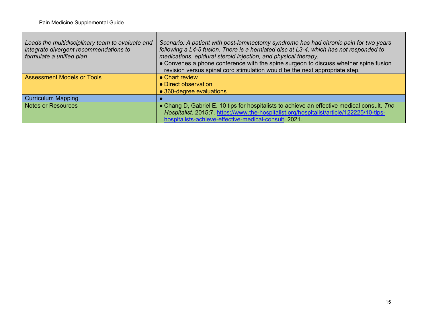| Leads the multidisciplinary team to evaluate and<br>integrate divergent recommendations to<br>formulate a unified plan | Scenario: A patient with post-laminectomy syndrome has had chronic pain for two years<br>following a L4-5 fusion. There is a herniated disc at L3-4, which has not responded to<br>medications, epidural steroid injection, and physical therapy.<br>• Convenes a phone conference with the spine surgeon to discuss whether spine fusion<br>revision versus spinal cord stimulation would be the next appropriate step. |
|------------------------------------------------------------------------------------------------------------------------|--------------------------------------------------------------------------------------------------------------------------------------------------------------------------------------------------------------------------------------------------------------------------------------------------------------------------------------------------------------------------------------------------------------------------|
| <b>Assessment Models or Tools</b>                                                                                      | • Chart review<br>• Direct observation                                                                                                                                                                                                                                                                                                                                                                                   |
|                                                                                                                        | • 360-degree evaluations                                                                                                                                                                                                                                                                                                                                                                                                 |
| <b>Curriculum Mapping</b>                                                                                              |                                                                                                                                                                                                                                                                                                                                                                                                                          |
| <b>Notes or Resources</b>                                                                                              | • Chang D, Gabriel E. 10 tips for hospitalists to achieve an effective medical consult. The<br>Hospitalist. 2015;7. https://www.the-hospitalist.org/hospitalist/article/122225/10-tips-<br>hospitalists-achieve-effective-medical-consult 2021.                                                                                                                                                                          |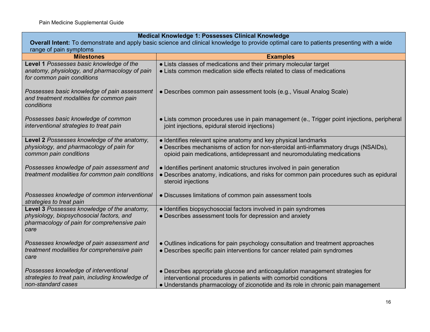| Medical Knowledge 1: Possesses Clinical Knowledge                                                                                        |                                                                                                                                                                                         |
|------------------------------------------------------------------------------------------------------------------------------------------|-----------------------------------------------------------------------------------------------------------------------------------------------------------------------------------------|
| Overall Intent: To demonstrate and apply basic science and clinical knowledge to provide optimal care to patients presenting with a wide |                                                                                                                                                                                         |
| range of pain symptoms                                                                                                                   |                                                                                                                                                                                         |
| <b>Milestones</b>                                                                                                                        | <b>Examples</b>                                                                                                                                                                         |
| Level 1 Possesses basic knowledge of the                                                                                                 | • Lists classes of medications and their primary molecular target<br>• Lists common medication side effects related to class of medications                                             |
| anatomy, physiology, and pharmacology of pain<br>for common pain conditions                                                              |                                                                                                                                                                                         |
| Possesses basic knowledge of pain assessment<br>and treatment modalities for common pain<br>conditions                                   | • Describes common pain assessment tools (e.g., Visual Analog Scale)                                                                                                                    |
| Possesses basic knowledge of common<br>interventional strategies to treat pain                                                           | · Lists common procedures use in pain management (e., Trigger point injections, peripheral<br>joint injections, epidural steroid injections)                                            |
| Level 2 Possesses knowledge of the anatomy,                                                                                              | · Identifies relevant spine anatomy and key physical landmarks                                                                                                                          |
| physiology, and pharmacology of pain for<br>common pain conditions                                                                       | • Describes mechanisms of action for non-steroidal anti-inflammatory drugs (NSAIDs),<br>opioid pain medications, antidepressant and neuromodulating medications                         |
| Possesses knowledge of pain assessment and<br>treatment modalities for common pain conditions                                            | • Identifies pertinent anatomic structures involved in pain generation<br>• Describes anatomy, indications, and risks for common pain procedures such as epidural<br>steroid injections |
| Possesses knowledge of common interventional<br>strategies to treat pain                                                                 | • Discusses limitations of common pain assessment tools                                                                                                                                 |
| Level 3 Possesses knowledge of the anatomy,                                                                                              | • Identifies biopsychosocial factors involved in pain syndromes                                                                                                                         |
| physiology, biopsychosocial factors, and<br>pharmacology of pain for comprehensive pain<br>care                                          | • Describes assessment tools for depression and anxiety                                                                                                                                 |
| Possesses knowledge of pain assessment and                                                                                               | • Outlines indications for pain psychology consultation and treatment approaches                                                                                                        |
| treatment modalities for comprehensive pain<br>care                                                                                      | • Describes specific pain interventions for cancer related pain syndromes                                                                                                               |
| Possesses knowledge of interventional                                                                                                    | • Describes appropriate glucose and anticoagulation management strategies for                                                                                                           |
| strategies to treat pain, including knowledge of                                                                                         | interventional procedures in patients with comorbid conditions                                                                                                                          |
| non-standard cases                                                                                                                       | • Understands pharmacology of ziconotide and its role in chronic pain management                                                                                                        |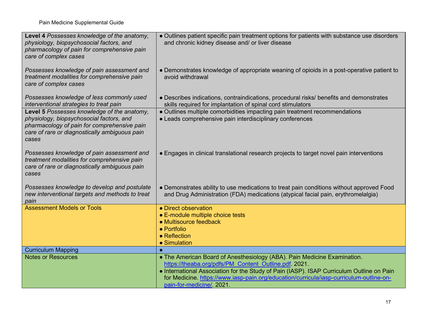| Level 4 Possesses knowledge of the anatomy,<br>physiology, biopsychosocial factors, and<br>pharmacology of pain for comprehensive pain<br>care of complex cases                                  | • Outlines patient specific pain treatment options for patients with substance use disorders<br>and chronic kidney disease and/ or liver disease                                                                                                                                                                                                     |
|--------------------------------------------------------------------------------------------------------------------------------------------------------------------------------------------------|------------------------------------------------------------------------------------------------------------------------------------------------------------------------------------------------------------------------------------------------------------------------------------------------------------------------------------------------------|
| Possesses knowledge of pain assessment and<br>treatment modalities for comprehensive pain<br>care of complex cases                                                                               | • Demonstrates knowledge of appropriate weaning of opioids in a post-operative patient to<br>avoid withdrawal                                                                                                                                                                                                                                        |
| Possesses knowledge of less commonly used<br>interventional strategies to treat pain                                                                                                             | • Describes indications, contraindications, procedural risks/ benefits and demonstrates<br>skills required for implantation of spinal cord stimulators                                                                                                                                                                                               |
| Level 5 Possesses knowledge of the anatomy,<br>physiology, biopsychosocial factors, and<br>pharmacology of pain for comprehensive pain<br>care of rare or diagnostically ambiguous pain<br>cases | • Outlines multiple comorbidities impacting pain treatment recommendations<br>• Leads comprehensive pain interdisciplinary conferences                                                                                                                                                                                                               |
| Possesses knowledge of pain assessment and<br>treatment modalities for comprehensive pain<br>care of rare or diagnostically ambiguous pain<br>cases                                              | • Engages in clinical translational research projects to target novel pain interventions                                                                                                                                                                                                                                                             |
| Possesses knowledge to develop and postulate<br>new interventional targets and methods to treat<br>pain                                                                                          | • Demonstrates ability to use medications to treat pain conditions without approved Food<br>and Drug Administration (FDA) medications (atypical facial pain, erythromelalgia)                                                                                                                                                                        |
| <b>Assessment Models or Tools</b>                                                                                                                                                                | • Direct observation<br>• E-module multiple choice tests<br>• Multisource feedback<br>• Portfolio<br>• Reflection<br>• Simulation                                                                                                                                                                                                                    |
| <b>Curriculum Mapping</b>                                                                                                                                                                        |                                                                                                                                                                                                                                                                                                                                                      |
| <b>Notes or Resources</b>                                                                                                                                                                        | • The American Board of Anesthesiology (ABA). Pain Medicine Examination.<br>https://theaba.org/pdfs/PM Content Outline.pdf 2021.<br>. International Association for the Study of Pain (IASP). ISAP Curriculum Outline on Pain<br>for Medicine. https://www.iasp-pain.org/education/curricula/iasp-curriculum-outline-on-<br>pain-for-medicine/ 2021. |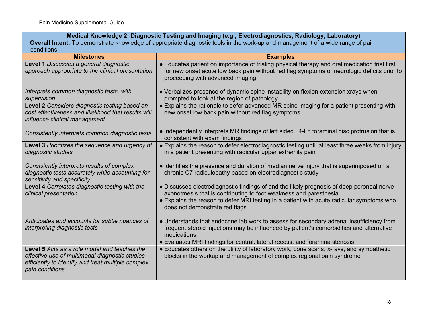# **Medical Knowledge 2: Diagnostic Testing and Imaging (e.g., Electrodiagnostics, Radiology, Laboratory)**

**Overall Intent:** To demonstrate knowledge of appropriate diagnostic tools in the work-up and management of a wide range of pain conditions

| <b>Milestones</b>                                                                                                                                                       | <b>Examples</b>                                                                                                                                                                                                                                                                               |
|-------------------------------------------------------------------------------------------------------------------------------------------------------------------------|-----------------------------------------------------------------------------------------------------------------------------------------------------------------------------------------------------------------------------------------------------------------------------------------------|
| Level 1 Discusses a general diagnostic<br>approach appropriate to the clinical presentation                                                                             | • Educates patient on importance of trialing physical therapy and oral medication trial first<br>for new onset acute low back pain without red flag symptoms or neurologic deficits prior to<br>proceeding with advanced imaging                                                              |
| Interprets common diagnostic tests, with<br>supervision                                                                                                                 | • Verbalizes presence of dynamic spine instability on flexion extension xrays when<br>prompted to look at the region of pathology                                                                                                                                                             |
| Level 2 Considers diagnostic testing based on<br>cost effectiveness and likelihood that results will<br>influence clinical management                                   | • Explains the rationale to defer advanced MR spine imaging for a patient presenting with<br>new onset low back pain without red flag symptoms                                                                                                                                                |
| Consistently interprets common diagnostic tests                                                                                                                         | • Independently interprets MR findings of left sided L4-L5 foraminal disc protrusion that is<br>consistent with exam findings                                                                                                                                                                 |
| Level 3 Prioritizes the sequence and urgency of<br>diagnostic studies                                                                                                   | • Explains the reason to defer electrodiagnostic testing until at least three weeks from injury<br>in a patient presenting with radicular upper extremity pain                                                                                                                                |
| Consistently interprets results of complex<br>diagnostic tests accurately while accounting for<br>sensitivity and specificity                                           | • Identifies the presence and duration of median nerve injury that is superimposed on a<br>chronic C7 radiculopathy based on electrodiagnostic study                                                                                                                                          |
| Level 4 Correlates diagnostic testing with the<br>clinical presentation                                                                                                 | • Discusses electrodiagnostic findings of and the likely prognosis of deep peroneal nerve<br>axonotmesis that is contributing to foot weakness and paresthesia<br>• Explains the reason to defer MRI testing in a patient with acute radicular symptoms who<br>does not demonstrate red flags |
| Anticipates and accounts for subtle nuances of<br>interpreting diagnostic tests                                                                                         | • Understands that endocrine lab work to assess for secondary adrenal insufficiency from<br>frequent steroid injections may be influenced by patient's comorbidities and alternative<br>medications.<br>• Evaluates MRI findings for central, lateral recess, and foramina stenosis           |
| Level 5 Acts as a role model and teaches the<br>effective use of multimodal diagnostic studies<br>efficiently to identify and treat multiple complex<br>pain conditions | • Educates others on the utility of laboratory work, bone scans, x-rays, and sympathetic<br>blocks in the workup and management of complex regional pain syndrome                                                                                                                             |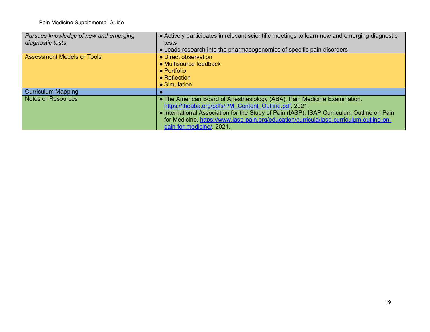| Pursues knowledge of new and emerging | • Actively participates in relevant scientific meetings to learn new and emerging diagnostic |
|---------------------------------------|----------------------------------------------------------------------------------------------|
| diagnostic tests                      | tests                                                                                        |
|                                       | • Leads research into the pharmacogenomics of specific pain disorders                        |
| <b>Assessment Models or Tools</b>     | • Direct observation                                                                         |
|                                       | • Multisource feedback                                                                       |
|                                       | $\bullet$ Portfolio                                                                          |
|                                       | $\bullet$ Reflection                                                                         |
|                                       | • Simulation                                                                                 |
| <b>Curriculum Mapping</b>             |                                                                                              |
| <b>Notes or Resources</b>             | • The American Board of Anesthesiology (ABA). Pain Medicine Examination.                     |
|                                       | https://theaba.org/pdfs/PM Content Outline.pdf 2021.                                         |
|                                       | • International Association for the Study of Pain (IASP). ISAP Curriculum Outline on Pain    |
|                                       | for Medicine. https://www.iasp-pain.org/education/curricula/iasp-curriculum-outline-on-      |
|                                       | pain-for-medicine/. 2021.                                                                    |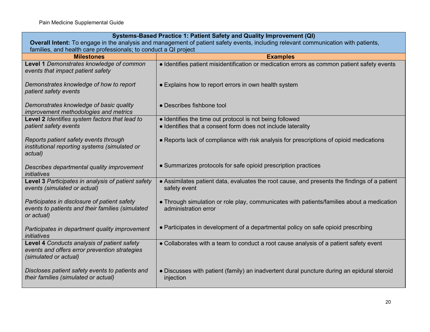| Systems-Based Practice 1: Patient Safety and Quality Improvement (QI)                                                              |                                                                                                                   |
|------------------------------------------------------------------------------------------------------------------------------------|-------------------------------------------------------------------------------------------------------------------|
| Overall Intent: To engage in the analysis and management of patient safety events, including relevant communication with patients, |                                                                                                                   |
| families, and health care professionals; to conduct a QI project                                                                   |                                                                                                                   |
| <b>Milestones</b>                                                                                                                  | <b>Examples</b>                                                                                                   |
| Level 1 Demonstrates knowledge of common<br>events that impact patient safety                                                      | • Identifies patient misidentification or medication errors as common patient safety events                       |
| Demonstrates knowledge of how to report<br>patient safety events                                                                   | • Explains how to report errors in own health system                                                              |
| Demonstrates knowledge of basic quality<br>improvement methodologies and metrics                                                   | • Describes fishbone tool                                                                                         |
| Level 2 Identifies system factors that lead to                                                                                     | • Identifies the time out protocol is not being followed                                                          |
| patient safety events                                                                                                              | · Identifies that a consent form does not include laterality                                                      |
| Reports patient safety events through<br>institutional reporting systems (simulated or<br>actual)                                  | • Reports lack of compliance with risk analysis for prescriptions of opioid medications                           |
| Describes departmental quality improvement<br>initiatives                                                                          | • Summarizes protocols for safe opioid prescription practices                                                     |
| Level 3 Participates in analysis of patient safety<br>events (simulated or actual)                                                 | • Assimilates patient data, evaluates the root cause, and presents the findings of a patient<br>safety event      |
| Participates in disclosure of patient safety<br>events to patients and their families (simulated<br>or actual)                     | • Through simulation or role play, communicates with patients/families about a medication<br>administration error |
| Participates in department quality improvement<br>initiatives                                                                      | • Participates in development of a departmental policy on safe opioid prescribing                                 |
| Level 4 Conducts analysis of patient safety<br>events and offers error prevention strategies<br>(simulated or actual)              | • Collaborates with a team to conduct a root cause analysis of a patient safety event                             |
| Discloses patient safety events to patients and<br>their families (simulated or actual)                                            | • Discusses with patient (family) an inadvertent dural puncture during an epidural steroid<br>injection           |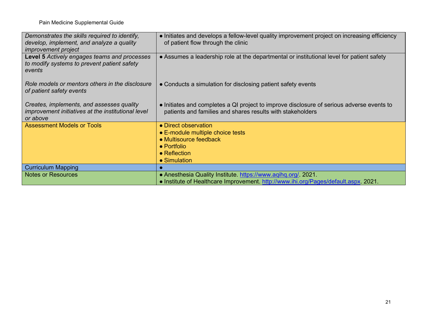| Demonstrates the skills required to identify,<br>develop, implement, and analyze a quality<br><i>improvement project</i> | • Initiates and develops a fellow-level quality improvement project on increasing efficiency<br>of patient flow through the clinic                      |
|--------------------------------------------------------------------------------------------------------------------------|---------------------------------------------------------------------------------------------------------------------------------------------------------|
| <b>Level 5</b> Actively engages teams and processes<br>to modify systems to prevent patient safety<br>events             | • Assumes a leadership role at the departmental or institutional level for patient safety                                                               |
| Role models or mentors others in the disclosure<br>of patient safety events                                              | • Conducts a simulation for disclosing patient safety events                                                                                            |
| Creates, implements, and assesses quality<br>improvement initiatives at the institutional level<br>or above              | • Initiates and completes a QI project to improve disclosure of serious adverse events to<br>patients and families and shares results with stakeholders |
| <b>Assessment Models or Tools</b>                                                                                        | • Direct observation<br>• E-module multiple choice tests<br>• Multisource feedback<br>$\bullet$ Portfolio<br>• Reflection<br>• Simulation               |
| <b>Curriculum Mapping</b>                                                                                                |                                                                                                                                                         |
| <b>Notes or Resources</b>                                                                                                | • Anesthesia Quality Institute. https://www.aqihq.org/. 2021.<br>• Institute of Healthcare Improvement. http://www.ihi.org/Pages/default.aspx. 2021.    |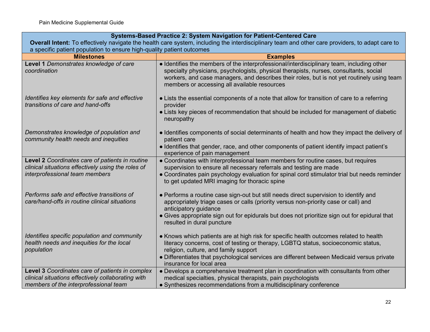**Level 3** *Coordinates care of patients in complex clinical situations effectively collaborating with* 

*members of the interprofessional team* 

|                                                                                                                                                                                                                          | Systems-Based Practice 2: System Navigation for Patient-Centered Care                                                                                                                                                                                                                                                                |  |
|--------------------------------------------------------------------------------------------------------------------------------------------------------------------------------------------------------------------------|--------------------------------------------------------------------------------------------------------------------------------------------------------------------------------------------------------------------------------------------------------------------------------------------------------------------------------------|--|
| Overall Intent: To effectively navigate the health care system, including the interdisciplinary team and other care providers, to adapt care to<br>a specific patient population to ensure high-quality patient outcomes |                                                                                                                                                                                                                                                                                                                                      |  |
| <b>Milestones</b>                                                                                                                                                                                                        | <b>Examples</b>                                                                                                                                                                                                                                                                                                                      |  |
| Level 1 Demonstrates knowledge of care<br>coordination                                                                                                                                                                   | · Identifies the members of the interprofessional/interdisciplinary team, including other<br>specialty physicians, psychologists, physical therapists, nurses, consultants, social<br>workers, and case managers, and describes their roles, but is not yet routinely using team<br>members or accessing all available resources     |  |
| Identifies key elements for safe and effective<br>transitions of care and hand-offs                                                                                                                                      | • Lists the essential components of a note that allow for transition of care to a referring<br>provider<br>• Lists key pieces of recommendation that should be included for management of diabetic                                                                                                                                   |  |
|                                                                                                                                                                                                                          | neuropathy                                                                                                                                                                                                                                                                                                                           |  |
| Demonstrates knowledge of population and<br>community health needs and inequities                                                                                                                                        | • Identifies components of social determinants of health and how they impact the delivery of<br>patient care<br>• Identifies that gender, race, and other components of patient identify impact patient's<br>experience of pain management                                                                                           |  |
| Level 2 Coordinates care of patients in routine<br>clinical situations effectively using the roles of<br>interprofessional team members                                                                                  | • Coordinates with interprofessional team members for routine cases, but requires<br>supervision to ensure all necessary referrals and testing are made<br>• Coordinates pain psychology evaluation for spinal cord stimulator trial but needs reminder<br>to get updated MRI imaging for thoracic spine                             |  |
| Performs safe and effective transitions of<br>care/hand-offs in routine clinical situations                                                                                                                              | • Performs a routine case sign-out but still needs direct supervision to identify and<br>appropriately triage cases or calls (priority versus non-priority case or call) and<br>anticipatory guidance<br>• Gives appropriate sign out for epidurals but does not prioritize sign out for epidural that<br>resulted in dural puncture |  |
| Identifies specific population and community<br>health needs and inequities for the local<br>population                                                                                                                  | • Knows which patients are at high risk for specific health outcomes related to health<br>literacy concerns, cost of testing or therapy, LGBTQ status, socioeconomic status,<br>religion, culture, and family support<br>• Differentiates that psychological services are different between Medicaid versus private                  |  |

insurance for local area

● Develops a comprehensive treatment plan in coordination with consultants from other

medical specialties, physical therapists, pain psychologists ● Synthesizes recommendations from a multidisciplinary conference

22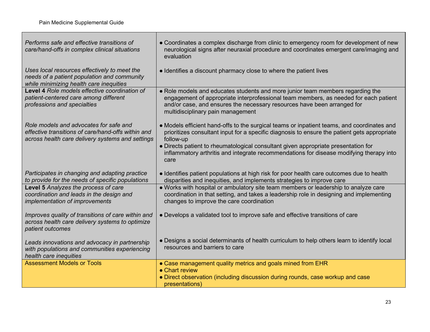Г

| Performs safe and effective transitions of<br>care/hand-offs in complex clinical situations                                                      | • Coordinates a complex discharge from clinic to emergency room for development of new<br>neurological signs after neuraxial procedure and coordinates emergent care/imaging and<br>evaluation                                                                                         |
|--------------------------------------------------------------------------------------------------------------------------------------------------|----------------------------------------------------------------------------------------------------------------------------------------------------------------------------------------------------------------------------------------------------------------------------------------|
| Uses local resources effectively to meet the<br>needs of a patient population and community<br>while minimizing health care inequities           | • Identifies a discount pharmacy close to where the patient lives                                                                                                                                                                                                                      |
| Level 4 Role models effective coordination of<br>patient-centered care among different<br>professions and specialties                            | • Role models and educates students and more junior team members regarding the<br>engagement of appropriate interprofessional team members, as needed for each patient<br>and/or case, and ensures the necessary resources have been arranged for<br>multidisciplinary pain management |
| Role models and advocates for safe and<br>effective transitions of care/hand-offs within and<br>across health care delivery systems and settings | • Models efficient hand-offs to the surgical teams or inpatient teams, and coordinates and<br>prioritizes consultant input for a specific diagnosis to ensure the patient gets appropriate<br>follow-up                                                                                |
|                                                                                                                                                  | • Directs patient to rheumatological consultant given appropriate presentation for<br>inflammatory arthritis and integrate recommendations for disease modifying therapy into<br>care                                                                                                  |
| Participates in changing and adapting practice<br>to provide for the needs of specific populations                                               | • Identifies patient populations at high risk for poor health care outcomes due to health<br>disparities and inequities, and implements strategies to improve care                                                                                                                     |
| Level 5 Analyzes the process of care<br>coordination and leads in the design and<br><i>implementation of improvements</i>                        | • Works with hospital or ambulatory site team members or leadership to analyze care<br>coordination in that setting, and takes a leadership role in designing and implementing<br>changes to improve the care coordination                                                             |
| Improves quality of transitions of care within and<br>across health care delivery systems to optimize<br>patient outcomes                        | • Develops a validated tool to improve safe and effective transitions of care                                                                                                                                                                                                          |
| Leads innovations and advocacy in partnership<br>with populations and communities experiencing<br>health care inequities                         | • Designs a social determinants of health curriculum to help others learn to identify local<br>resources and barriers to care                                                                                                                                                          |
| <b>Assessment Models or Tools</b>                                                                                                                | • Case management quality metrics and goals mined from EHR<br>• Chart review                                                                                                                                                                                                           |
|                                                                                                                                                  | • Direct observation (including discussion during rounds, case workup and case<br>presentations)                                                                                                                                                                                       |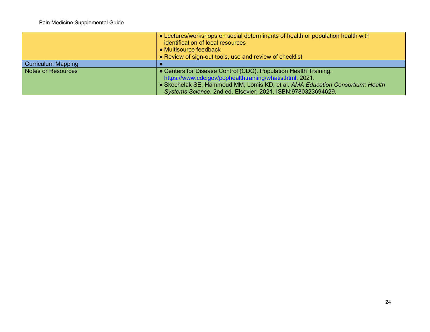|                           | • Lectures/workshops on social determinants of health or population health with<br>identification of local resources<br>• Multisource feedback |
|---------------------------|------------------------------------------------------------------------------------------------------------------------------------------------|
|                           | • Review of sign-out tools, use and review of checklist                                                                                        |
| <b>Curriculum Mapping</b> |                                                                                                                                                |
| Notes or Resources        | • Centers for Disease Control (CDC). Population Health Training.                                                                               |
|                           | https://www.cdc.gov/pophealthtraining/whatis.html. 2021.                                                                                       |
|                           | • Skochelak SE, Hammoud MM, Lomis KD, et al. AMA Education Consortium: Health                                                                  |
|                           | Systems Science. 2nd ed. Elsevier; 2021. ISBN:9780323694629.                                                                                   |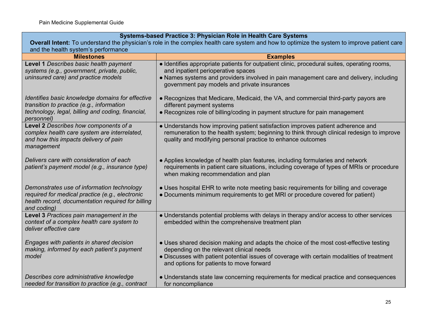### **Systems-based Practice 3: Physician Role in Health Care Systems**

| <b>Overall Intent:</b> To understand the physician's role in the complex health care system and how to optimize the system to improve patient care<br>and the health system's performance |                                                                                                                                                                                                                                                                              |  |
|-------------------------------------------------------------------------------------------------------------------------------------------------------------------------------------------|------------------------------------------------------------------------------------------------------------------------------------------------------------------------------------------------------------------------------------------------------------------------------|--|
| <b>Milestones</b>                                                                                                                                                                         | <b>Examples</b>                                                                                                                                                                                                                                                              |  |
| Level 1 Describes basic health payment<br>systems (e.g., government, private, public,<br>uninsured care) and practice models                                                              | • Identifies appropriate patients for outpatient clinic, procedural suites, operating rooms,<br>and inpatient perioperative spaces<br>• Names systems and providers involved in pain management care and delivery, including<br>government pay models and private insurances |  |
| Identifies basic knowledge domains for effective<br>transition to practice (e.g., information<br>technology, legal, billing and coding, financial,<br>personnel)                          | • Recognizes that Medicare, Medicaid, the VA, and commercial third-party payors are<br>different payment systems<br>• Recognizes role of billing/coding in payment structure for pain management                                                                             |  |
| Level 2 Describes how components of a<br>complex health care system are interrelated,<br>and how this impacts delivery of pain<br>management                                              | • Understands how improving patient satisfaction improves patient adherence and<br>remuneration to the health system; beginning to think through clinical redesign to improve<br>quality and modifying personal practice to enhance outcomes                                 |  |
| Delivers care with consideration of each<br>patient's payment model (e.g., insurance type)                                                                                                | • Applies knowledge of health plan features, including formularies and network<br>requirements in patient care situations, including coverage of types of MRIs or procedure<br>when making recommendation and plan                                                           |  |
| Demonstrates use of information technology<br>required for medical practice (e.g., electronic<br>health record, documentation required for billing<br>and coding)                         | • Uses hospital EHR to write note meeting basic requirements for billing and coverage<br>• Documents minimum requirements to get MRI or procedure covered for patient)                                                                                                       |  |
| Level 3 Practices pain management in the<br>context of a complex health care system to<br>deliver effective care                                                                          | • Understands potential problems with delays in therapy and/or access to other services<br>embedded within the comprehensive treatment plan                                                                                                                                  |  |
| Engages with patients in shared decision<br>making, informed by each patient's payment<br>model                                                                                           | • Uses shared decision making and adapts the choice of the most cost-effective testing<br>depending on the relevant clinical needs<br>• Discusses with patient potential issues of coverage with certain modalities of treatment<br>and options for patients to move forward |  |
| Describes core administrative knowledge<br>needed for transition to practice (e.g., contract                                                                                              | • Understands state law concerning requirements for medical practice and consequences<br>for noncompliance                                                                                                                                                                   |  |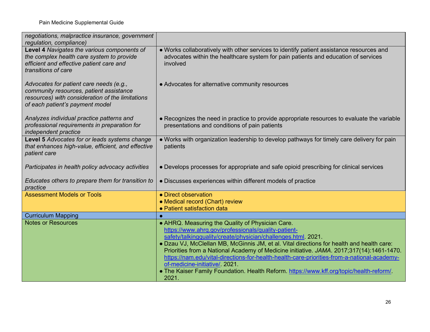| negotiations, malpractice insurance, government<br>regulation, compliance)                                                                                                |                                                                                                                                                                                                                                                                                                                                                                                                                                                                                                                                                                                                       |
|---------------------------------------------------------------------------------------------------------------------------------------------------------------------------|-------------------------------------------------------------------------------------------------------------------------------------------------------------------------------------------------------------------------------------------------------------------------------------------------------------------------------------------------------------------------------------------------------------------------------------------------------------------------------------------------------------------------------------------------------------------------------------------------------|
| Level 4 Navigates the various components of<br>the complex health care system to provide<br>efficient and effective patient care and<br>transitions of care               | • Works collaboratively with other services to identify patient assistance resources and<br>advocates within the healthcare system for pain patients and education of services<br>involved                                                                                                                                                                                                                                                                                                                                                                                                            |
| Advocates for patient care needs (e.g.,<br>community resources, patient assistance<br>resources) with consideration of the limitations<br>of each patient's payment model | • Advocates for alternative community resources                                                                                                                                                                                                                                                                                                                                                                                                                                                                                                                                                       |
| Analyzes individual practice patterns and<br>professional requirements in preparation for<br>independent practice                                                         | • Recognizes the need in practice to provide appropriate resources to evaluate the variable<br>presentations and conditions of pain patients                                                                                                                                                                                                                                                                                                                                                                                                                                                          |
| Level 5 Advocates for or leads systems change<br>that enhances high-value, efficient, and effective<br>patient care                                                       | . Works with organization leadership to develop pathways for timely care delivery for pain<br>patients                                                                                                                                                                                                                                                                                                                                                                                                                                                                                                |
| Participates in health policy advocacy activities                                                                                                                         | • Develops processes for appropriate and safe opioid prescribing for clinical services                                                                                                                                                                                                                                                                                                                                                                                                                                                                                                                |
| Educates others to prepare them for transition to<br>practice                                                                                                             | • Discusses experiences within different models of practice                                                                                                                                                                                                                                                                                                                                                                                                                                                                                                                                           |
| <b>Assessment Models or Tools</b>                                                                                                                                         | • Direct observation<br>• Medical record (Chart) review<br>• Patient satisfaction data                                                                                                                                                                                                                                                                                                                                                                                                                                                                                                                |
| <b>Curriculum Mapping</b>                                                                                                                                                 |                                                                                                                                                                                                                                                                                                                                                                                                                                                                                                                                                                                                       |
| <b>Notes or Resources</b>                                                                                                                                                 | • AHRQ. Measuring the Quality of Physician Care.<br>https://www.ahrq.gov/professionals/quality-patient-<br>safety/talkingquality/create/physician/challenges.html. 2021.<br>. Dzau VJ, McClellan MB, McGinnis JM, et al. Vital directions for health and health care:<br>Priorities from a National Academy of Medicine initiative. JAMA. 2017;317(14):1461-1470.<br>https://nam.edu/vital-directions-for-health-health-care-priorities-from-a-national-academy-<br>of-medicine-initiative/ 2021.<br>. The Kaiser Family Foundation. Health Reform. https://www.kff.org/topic/health-reform/<br>2021. |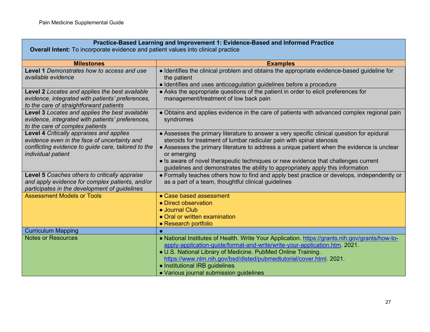| Practice-Based Learning and Improvement 1: Evidence-Based and Informed Practice                                                                                       |                                                                                                                                                                                                                                                                                                                                                                                                                                                          |
|-----------------------------------------------------------------------------------------------------------------------------------------------------------------------|----------------------------------------------------------------------------------------------------------------------------------------------------------------------------------------------------------------------------------------------------------------------------------------------------------------------------------------------------------------------------------------------------------------------------------------------------------|
| <b>Overall Intent:</b> To incorporate evidence and patient values into clinical practice                                                                              |                                                                                                                                                                                                                                                                                                                                                                                                                                                          |
| <b>Milestones</b>                                                                                                                                                     | <b>Examples</b>                                                                                                                                                                                                                                                                                                                                                                                                                                          |
| <b>Level 1</b> Demonstrates how to access and use<br>available evidence                                                                                               | • Identifies the clinical problem and obtains the appropriate evidence-based guideline for<br>the patient<br>• Identifies and uses anticoagulation guidelines before a procedure                                                                                                                                                                                                                                                                         |
| Level 2 Locates and applies the best available<br>evidence, integrated with patients' preferences,<br>to the care of straightforward patients                         | • Asks the appropriate questions of the patient in order to elicit preferences for<br>management/treatment of low back pain                                                                                                                                                                                                                                                                                                                              |
| Level 3 Locates and applies the best available<br>evidence, integrated with patients' preferences,<br>to the care of complex patients                                 | • Obtains and applies evidence in the care of patients with advanced complex regional pain<br>syndromes                                                                                                                                                                                                                                                                                                                                                  |
| Level 4 Critically appraises and applies<br>evidence even in the face of uncertainty and<br>conflicting evidence to guide care, tailored to the<br>individual patient | • Assesses the primary literature to answer a very specific clinical question for epidural<br>steroids for treatment of lumbar radicular pain with spinal stenosis<br>• Assesses the primary literature to address a unique patient when the evidence is unclear<br>or emerging<br>• Is aware of novel therapeutic techniques or new evidence that challenges current<br>guidelines and demonstrates the ability to appropriately apply this information |
| Level 5 Coaches others to critically appraise<br>and apply evidence for complex patients, and/or<br>participates in the development of guidelines                     | • Formally teaches others how to find and apply best practice or develops, independently or<br>as a part of a team, thoughtful clinical guidelines                                                                                                                                                                                                                                                                                                       |
| <b>Assessment Models or Tools</b>                                                                                                                                     | • Case based assessment<br>• Direct observation<br><b>.</b> Journal Club<br>• Oral or written examination<br>• Research portfolio                                                                                                                                                                                                                                                                                                                        |
| <b>Curriculum Mapping</b>                                                                                                                                             | Ō                                                                                                                                                                                                                                                                                                                                                                                                                                                        |
| <b>Notes or Resources</b>                                                                                                                                             | . National Institutes of Health. Write Your Application. https://grants.nih.gov/grants/how-to-<br>apply-application-guide/format-and-write/write-your-application.htm. 2021.<br>. U.S. National Library of Medicine. PubMed Online Training.<br>https://www.nlm.nih.gov/bsd/disted/pubmedtutorial/cover.html. 2021.<br>• Institutional IRB guidelines<br>• Various journal submission guidelines                                                         |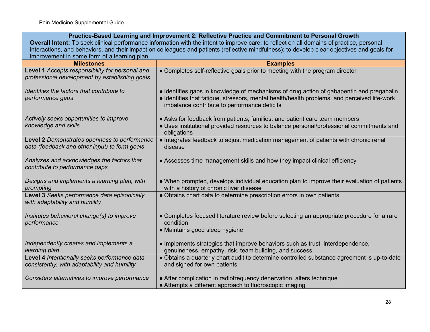| Practice-Based Learning and Improvement 2: Reflective Practice and Commitment to Personal Growth                                             |                                                                                                                                                                                                                                          |
|----------------------------------------------------------------------------------------------------------------------------------------------|------------------------------------------------------------------------------------------------------------------------------------------------------------------------------------------------------------------------------------------|
| Overall Intent: To seek clinical performance information with the intent to improve care; to reflect on all domains of practice, personal    |                                                                                                                                                                                                                                          |
| interactions, and behaviors, and their impact on colleagues and patients (reflective mindfulness); to develop clear objectives and goals for |                                                                                                                                                                                                                                          |
| improvement in some form of a learning plan                                                                                                  |                                                                                                                                                                                                                                          |
| <b>Milestones</b>                                                                                                                            | <b>Examples</b>                                                                                                                                                                                                                          |
| Level 1 Accepts responsibility for personal and<br>professional development by establishing goals                                            | • Completes self-reflective goals prior to meeting with the program director                                                                                                                                                             |
| Identifies the factors that contribute to<br>performance gaps                                                                                | • Identifies gaps in knowledge of mechanisms of drug action of gabapentin and pregabalin<br>· Identifies that fatigue, stressors, mental health/health problems, and perceived life-work<br>imbalance contribute to performance deficits |
| Actively seeks opportunities to improve<br>knowledge and skills                                                                              | • Asks for feedback from patients, families, and patient care team members<br>· Uses institutional provided resources to balance personal/professional commitments and<br>obligations                                                    |
| Level 2 Demonstrates openness to performance<br>data (feedback and other input) to form goals                                                | • Integrates feedback to adjust medication management of patients with chronic renal<br>disease                                                                                                                                          |
| Analyzes and acknowledges the factors that<br>contribute to performance gaps                                                                 | • Assesses time management skills and how they impact clinical efficiency                                                                                                                                                                |
| Designs and implements a learning plan, with<br>prompting                                                                                    | • When prompted, develops individual education plan to improve their evaluation of patients<br>with a history of chronic liver disease                                                                                                   |
| Level 3 Seeks performance data episodically,<br>with adaptability and humility                                                               | • Obtains chart data to determine prescription errors in own patients                                                                                                                                                                    |
| Institutes behavioral change(s) to improve<br>performance                                                                                    | • Completes focused literature review before selecting an appropriate procedure for a rare<br>condition<br>• Maintains good sleep hygiene                                                                                                |
| Independently creates and implements a<br>learning plan                                                                                      | • Implements strategies that improve behaviors such as trust, interdependence,<br>genuineness, empathy, risk, team building, and success                                                                                                 |
| Level 4 Intentionally seeks performance data<br>consistently, with adaptability and humility                                                 | • Obtains a quarterly chart audit to determine controlled substance agreement is up-to-date<br>and signed for own patients                                                                                                               |
| Considers alternatives to improve performance                                                                                                | • After complication in radiofrequency denervation, alters technique<br>• Attempts a different approach to fluoroscopic imaging                                                                                                          |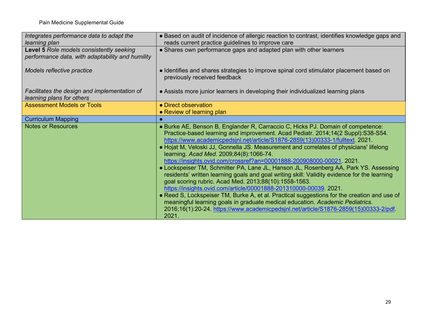| Integrates performance data to adapt the<br>learning plan                                    | • Based on audit of incidence of allergic reaction to contrast, identifies knowledge gaps and<br>reads current practice guidelines to improve care                                                                                                                                                                                                                                                                                                                                                                                                                                                                                                                                                                                                                                                                                                                                                                                                                                                                                                                        |
|----------------------------------------------------------------------------------------------|---------------------------------------------------------------------------------------------------------------------------------------------------------------------------------------------------------------------------------------------------------------------------------------------------------------------------------------------------------------------------------------------------------------------------------------------------------------------------------------------------------------------------------------------------------------------------------------------------------------------------------------------------------------------------------------------------------------------------------------------------------------------------------------------------------------------------------------------------------------------------------------------------------------------------------------------------------------------------------------------------------------------------------------------------------------------------|
| Level 5 Role models consistently seeking<br>performance data, with adaptability and humility | • Shares own performance gaps and adapted plan with other learners                                                                                                                                                                                                                                                                                                                                                                                                                                                                                                                                                                                                                                                                                                                                                                                                                                                                                                                                                                                                        |
| Models reflective practice                                                                   | • Identifies and shares strategies to improve spinal cord stimulator placement based on<br>previously received feedback                                                                                                                                                                                                                                                                                                                                                                                                                                                                                                                                                                                                                                                                                                                                                                                                                                                                                                                                                   |
| Facilitates the design and implementation of<br>learning plans for others                    | • Assists more junior learners in developing their individualized learning plans                                                                                                                                                                                                                                                                                                                                                                                                                                                                                                                                                                                                                                                                                                                                                                                                                                                                                                                                                                                          |
| <b>Assessment Models or Tools</b>                                                            | • Direct observation<br>• Review of learning plan                                                                                                                                                                                                                                                                                                                                                                                                                                                                                                                                                                                                                                                                                                                                                                                                                                                                                                                                                                                                                         |
| <b>Curriculum Mapping</b>                                                                    |                                                                                                                                                                                                                                                                                                                                                                                                                                                                                                                                                                                                                                                                                                                                                                                                                                                                                                                                                                                                                                                                           |
| <b>Notes or Resources</b>                                                                    | • Burke AE, Benson B, Englander R, Carraccio C, Hicks PJ. Domain of competence:<br>Practice-based learning and improvement. Acad Pediatr. 2014;14(2 Suppl):S38-S54.<br>https://www.academicpedsjnl.net/article/S1876-2859(13)00333-1/fulltext. 2021.<br>• Hojat M, Veloski JJ, Gonnella JS. Measurement and correlates of physicians' lifelong<br>learning. Acad Med. 2009;84(8):1066-74.<br>https://insights.ovid.com/crossref?an=00001888-200908000-00021. 2021.<br>• Lockspeiser TM, Schmitter PA, Lane JL, Hanson JL, Rosenberg AA, Park YS. Assessing<br>residents' written learning goals and goal writing skill: Validity evidence for the learning<br>goal scoring rubric. Acad Med. 2013;88(10):1558-1563.<br>https://insights.ovid.com/article/00001888-201310000-00039. 2021.<br>• Reed S, Lockspeiser TM, Burke A, et al. Practical suggestions for the creation and use of<br>meaningful learning goals in graduate medical education. Academic Pediatrics.<br>2016;16(1):20-24. https://www.academicpedsjnl.net/article/S1876-2859(15)00333-2/pdf.<br>2021. |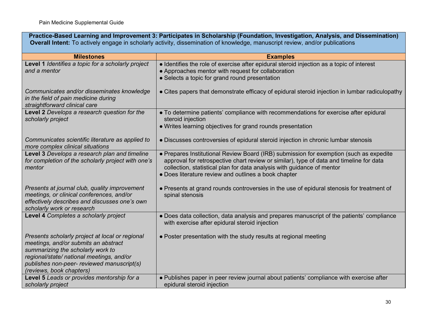| Practice-Based Learning and Improvement 3: Participates in Scholarship (Foundation, Investigation, Analysis, and Dissemination)<br><b>Overall Intent:</b> To actively engage in scholarly activity, dissemination of knowledge, manuscript review, and/or publications |                                                                                                                                                                                                                                                                                                                     |
|------------------------------------------------------------------------------------------------------------------------------------------------------------------------------------------------------------------------------------------------------------------------|---------------------------------------------------------------------------------------------------------------------------------------------------------------------------------------------------------------------------------------------------------------------------------------------------------------------|
| <b>Milestones</b>                                                                                                                                                                                                                                                      | <b>Examples</b>                                                                                                                                                                                                                                                                                                     |
| Level 1 Identifies a topic for a scholarly project<br>and a mentor                                                                                                                                                                                                     | • Identifies the role of exercise after epidural steroid injection as a topic of interest<br>• Approaches mentor with request for collaboration<br>• Selects a topic for grand round presentation                                                                                                                   |
| Communicates and/or disseminates knowledge<br>in the field of pain medicine during<br>straightforward clinical care                                                                                                                                                    | • Cites papers that demonstrate efficacy of epidural steroid injection in lumbar radiculopathy                                                                                                                                                                                                                      |
| Level 2 Develops a research question for the<br>scholarly project                                                                                                                                                                                                      | • To determine patients' compliance with recommendations for exercise after epidural<br>steroid injection<br>. Writes learning objectives for grand rounds presentation                                                                                                                                             |
| Communicates scientific literature as applied to<br>more complex clinical situations                                                                                                                                                                                   | • Discusses controversies of epidural steroid injection in chronic lumbar stenosis                                                                                                                                                                                                                                  |
| Level 3 Develops a research plan and timeline<br>for completion of the scholarly project with one's<br>mentor                                                                                                                                                          | • Prepares Institutional Review Board (IRB) submission for exemption (such as expedite<br>approval for retrospective chart review or similar), type of data and timeline for data<br>collection, statistical plan for data analysis with guidance of mentor<br>• Does literature review and outlines a book chapter |
| Presents at journal club, quality improvement<br>meetings, or clinical conferences, and/or<br>effectively describes and discusses one's own<br>scholarly work or research                                                                                              | • Presents at grand rounds controversies in the use of epidural stenosis for treatment of<br>spinal stenosis                                                                                                                                                                                                        |
| Level 4 Completes a scholarly project                                                                                                                                                                                                                                  | • Does data collection, data analysis and prepares manuscript of the patients' compliance<br>with exercise after epidural steroid injection                                                                                                                                                                         |
| Presents scholarly project at local or regional<br>meetings, and/or submits an abstract<br>summarizing the scholarly work to<br>regional/state/ national meetings, and/or<br>publishes non-peer- reviewed manuscript(s)<br>(reviews, book chapters)                    | • Poster presentation with the study results at regional meeting                                                                                                                                                                                                                                                    |
| Level 5 Leads or provides mentorship for a<br>scholarly project                                                                                                                                                                                                        | • Publishes paper in peer review journal about patients' compliance with exercise after<br>epidural steroid injection                                                                                                                                                                                               |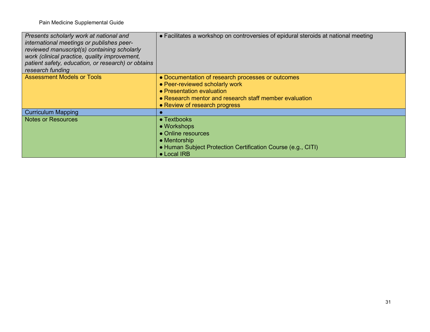| Presents scholarly work at national and<br>international meetings or publishes peer-<br>reviewed manuscript(s) containing scholarly<br>work (clinical practice, quality improvement,<br>patient safety, education, or research) or obtains<br>research funding | • Facilitates a workshop on controversies of epidural steroids at national meeting                                                                                                                          |
|----------------------------------------------------------------------------------------------------------------------------------------------------------------------------------------------------------------------------------------------------------------|-------------------------------------------------------------------------------------------------------------------------------------------------------------------------------------------------------------|
| <b>Assessment Models or Tools</b>                                                                                                                                                                                                                              | • Documentation of research processes or outcomes<br>• Peer-reviewed scholarly work<br>• Presentation evaluation<br>• Research mentor and research staff member evaluation<br>• Review of research progress |
| <b>Curriculum Mapping</b>                                                                                                                                                                                                                                      |                                                                                                                                                                                                             |
| <b>Notes or Resources</b>                                                                                                                                                                                                                                      | $\bullet$ Textbooks<br>• Workshops<br>• Online resources<br>$\bullet$ Mentorship<br>• Human Subject Protection Certification Course (e.g., CITI)<br>• Local IRB                                             |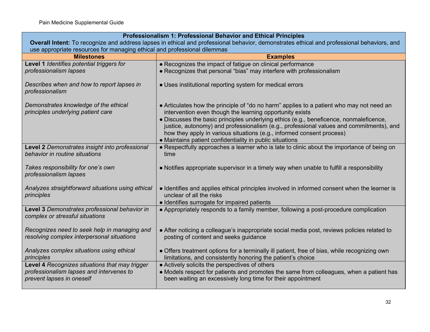| Professionalism 1: Professional Behavior and Ethical Principles                                                                            |                                                                                                                                                                                                                                                |  |
|--------------------------------------------------------------------------------------------------------------------------------------------|------------------------------------------------------------------------------------------------------------------------------------------------------------------------------------------------------------------------------------------------|--|
| Overall Intent: To recognize and address lapses in ethical and professional behavior, demonstrates ethical and professional behaviors, and |                                                                                                                                                                                                                                                |  |
|                                                                                                                                            | use appropriate resources for managing ethical and professional dilemmas                                                                                                                                                                       |  |
| <b>Milestones</b>                                                                                                                          | <b>Examples</b>                                                                                                                                                                                                                                |  |
| Level 1 Identifies potential triggers for                                                                                                  | • Recognizes the impact of fatigue on clinical performance                                                                                                                                                                                     |  |
| professionalism lapses                                                                                                                     | • Recognizes that personal "bias" may interfere with professionalism                                                                                                                                                                           |  |
| Describes when and how to report lapses in<br>professionalism                                                                              | • Uses institutional reporting system for medical errors                                                                                                                                                                                       |  |
| Demonstrates knowledge of the ethical<br>principles underlying patient care                                                                | • Articulates how the principle of "do no harm" applies to a patient who may not need an<br>intervention even though the learning opportunity exists<br>• Discusses the basic principles underlying ethics (e.g., beneficence, nonmaleficence, |  |
|                                                                                                                                            | justice, autonomy) and professionalism (e.g., professional values and commitments), and<br>how they apply in various situations (e.g., informed consent process)<br>• Maintains patient confidentiality in public situations                   |  |
| Level 2 Demonstrates insight into professional<br>behavior in routine situations                                                           | • Respectfully approaches a learner who is late to clinic about the importance of being on<br>time                                                                                                                                             |  |
| Takes responsibility for one's own<br>professionalism lapses                                                                               | • Notifies appropriate supervisor in a timely way when unable to fulfill a responsibility                                                                                                                                                      |  |
| Analyzes straightforward situations using ethical<br>principles                                                                            | • Identifies and applies ethical principles involved in informed consent when the learner is<br>unclear of all the risks<br>• Identifies surrogate for impaired patients                                                                       |  |
| Level 3 Demonstrates professional behavior in<br>complex or stressful situations                                                           | • Appropriately responds to a family member, following a post-procedure complication                                                                                                                                                           |  |
| Recognizes need to seek help in managing and<br>resolving complex interpersonal situations                                                 | • After noticing a colleague's inappropriate social media post, reviews policies related to<br>posting of content and seeks guidance                                                                                                           |  |
| Analyzes complex situations using ethical<br>principles                                                                                    | • Offers treatment options for a terminally ill patient, free of bias, while recognizing own<br>limitations, and consistently honoring the patient's choice                                                                                    |  |
| Level 4 Recognizes situations that may trigger<br>professionalism lapses and intervenes to<br>prevent lapses in oneself                    | • Actively solicits the perspectives of others<br>• Models respect for patients and promotes the same from colleagues, when a patient has<br>been waiting an excessively long time for their appointment                                       |  |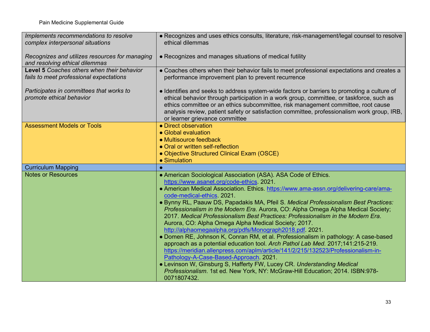| Implements recommendations to resolve                                | • Recognizes and uses ethics consults, literature, risk-management/legal counsel to resolve                                                                                   |
|----------------------------------------------------------------------|-------------------------------------------------------------------------------------------------------------------------------------------------------------------------------|
| complex interpersonal situations                                     | ethical dilemmas                                                                                                                                                              |
| Recognizes and utilizes resources for managing                       | • Recognizes and manages situations of medical futility                                                                                                                       |
| and resolving ethical dilemmas                                       |                                                                                                                                                                               |
| Level 5 Coaches others when their behavior                           | • Coaches others when their behavior fails to meet professional expectations and creates a                                                                                    |
| fails to meet professional expectations                              | performance improvement plan to prevent recurrence                                                                                                                            |
| Participates in committees that works to<br>promote ethical behavior | • Identifies and seeks to address system-wide factors or barriers to promoting a culture of                                                                                   |
|                                                                      | ethical behavior through participation in a work group, committee, or taskforce, such as<br>ethics committee or an ethics subcommittee, risk management committee, root cause |
|                                                                      | analysis review, patient safety or satisfaction committee, professionalism work group, IRB,                                                                                   |
|                                                                      | or learner grievance committee                                                                                                                                                |
| <b>Assessment Models or Tools</b>                                    | • Direct observation                                                                                                                                                          |
|                                                                      | • Global evaluation                                                                                                                                                           |
|                                                                      | • Multisource feedback                                                                                                                                                        |
|                                                                      | • Oral or written self-reflection                                                                                                                                             |
|                                                                      | • Objective Structured Clinical Exam (OSCE)                                                                                                                                   |
|                                                                      |                                                                                                                                                                               |
|                                                                      | • Simulation                                                                                                                                                                  |
| <b>Curriculum Mapping</b>                                            |                                                                                                                                                                               |
| <b>Notes or Resources</b>                                            | • American Sociological Association (ASA). ASA Code of Ethics.                                                                                                                |
|                                                                      | https://www.asanet.org/code-ethics. 2021.                                                                                                                                     |
|                                                                      | • American Medical Association. Ethics. https://www.ama-assn.org/delivering-care/ama-                                                                                         |
|                                                                      | code-medical-ethics. 2021.                                                                                                                                                    |
|                                                                      | · Bynny RL, Paauw DS, Papadakis MA, Pfeil S. Medical Professionalism Best Practices:                                                                                          |
|                                                                      | Professionalism in the Modern Era. Aurora, CO: Alpha Omega Alpha Medical Society;<br>2017. Medical Professionalism Best Practices: Professionalism in the Modern Era.         |
|                                                                      |                                                                                                                                                                               |
|                                                                      | Aurora, CO: Alpha Omega Alpha Medical Society; 2017.<br>http://alphaomegaalpha.org/pdfs/Monograph2018.pdf. 2021.                                                              |
|                                                                      | • Domen RE, Johnson K, Conran RM, et al. Professionalism in pathology: A case-based                                                                                           |
|                                                                      | approach as a potential education tool. Arch Pathol Lab Med. 2017;141:215-219.                                                                                                |
|                                                                      | https://meridian.allenpress.com/aplm/article/141/2/215/132523/Professionalism-in-                                                                                             |
|                                                                      | Pathology-A-Case-Based-Approach. 2021.                                                                                                                                        |
|                                                                      | • Levinson W, Ginsburg S, Hafferty FW, Lucey CR. Understanding Medical                                                                                                        |
|                                                                      | Professionalism. 1st ed. New York, NY: McGraw-Hill Education; 2014. ISBN:978-<br>0071807432.                                                                                  |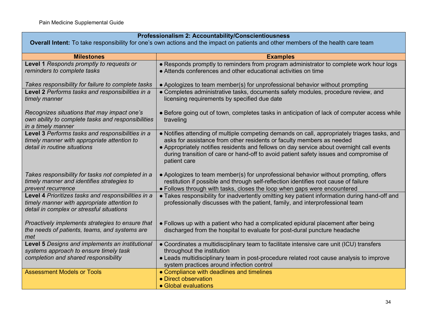| Professionalism 2: Accountability/Conscientiousness |  |
|-----------------------------------------------------|--|
|-----------------------------------------------------|--|

**Overall Intent:** To take responsibility for one's own actions and the impact on patients and other members of the health care team

| <b>Milestones</b>                                                           | <b>Examples</b>                                                                                                                                                           |
|-----------------------------------------------------------------------------|---------------------------------------------------------------------------------------------------------------------------------------------------------------------------|
| Level 1 Responds promptly to requests or                                    | • Responds promptly to reminders from program administrator to complete work hour logs                                                                                    |
| reminders to complete tasks                                                 | • Attends conferences and other educational activities on time                                                                                                            |
|                                                                             |                                                                                                                                                                           |
| Takes responsibility for failure to complete tasks                          | • Apologizes to team member(s) for unprofessional behavior without prompting                                                                                              |
| Level 2 Performs tasks and responsibilities in a<br>timely manner           | • Completes administrative tasks, documents safety modules, procedure review, and<br>licensing requirements by specified due date                                         |
|                                                                             |                                                                                                                                                                           |
| Recognizes situations that may impact one's                                 | • Before going out of town, completes tasks in anticipation of lack of computer access while                                                                              |
| own ability to complete tasks and responsibilities                          | traveling                                                                                                                                                                 |
| in a timely manner                                                          |                                                                                                                                                                           |
| Level 3 Performs tasks and responsibilities in a                            | • Notifies attending of multiple competing demands on call, appropriately triages tasks, and                                                                              |
| timely manner with appropriate attention to<br>detail in routine situations | asks for assistance from other residents or faculty members as needed<br>• Appropriately notifies residents and fellows on day service about overnight call events        |
|                                                                             | during transition of care or hand-off to avoid patient safety issues and compromise of                                                                                    |
|                                                                             | patient care                                                                                                                                                              |
|                                                                             |                                                                                                                                                                           |
| Takes responsibility for tasks not completed in a                           | • Apologizes to team member(s) for unprofessional behavior without prompting, offers                                                                                      |
| timely manner and identifies strategies to                                  | restitution if possible and through self-reflection identifies root cause of failure                                                                                      |
| prevent recurrence<br>Level 4 Prioritizes tasks and responsibilities in a   | • Follows through with tasks, closes the loop when gaps were encountered<br>• Takes responsibility for inadvertently omitting key patient information during hand-off and |
| timely manner with appropriate attention to                                 | professionally discusses with the patient, family, and interprofessional team                                                                                             |
| detail in complex or stressful situations                                   |                                                                                                                                                                           |
|                                                                             |                                                                                                                                                                           |
| Proactively implements strategies to ensure that                            | • Follows up with a patient who had a complicated epidural placement after being                                                                                          |
| the needs of patients, teams, and systems are                               | discharged from the hospital to evaluate for post-dural puncture headache                                                                                                 |
| met<br>Level 5 Designs and implements an institutional                      | • Coordinates a multidisciplinary team to facilitate intensive care unit (ICU) transfers                                                                                  |
| systems approach to ensure timely task                                      | throughout the institution                                                                                                                                                |
| completion and shared responsibility                                        | • Leads multidisciplinary team in post-procedure related root cause analysis to improve                                                                                   |
|                                                                             | system practices around infection control                                                                                                                                 |
| <b>Assessment Models or Tools</b>                                           | • Compliance with deadlines and timelines                                                                                                                                 |
|                                                                             | • Direct observation                                                                                                                                                      |
|                                                                             | • Global evaluations                                                                                                                                                      |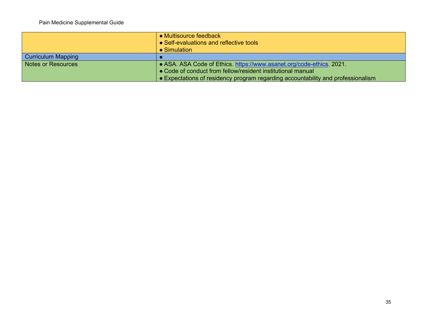|                           | $\bullet$ Multisource feedback<br>• Self-evaluations and reflective tools<br>$\bullet$ Simulation |
|---------------------------|---------------------------------------------------------------------------------------------------|
| Curriculum Mapping        |                                                                                                   |
| <b>Notes or Resources</b> | • ASA. ASA Code of Ethics. https://www.asanet.org/code-ethics. 2021.                              |
|                           | • Code of conduct from fellow/resident institutional manual                                       |
|                           | • Expectations of residency program regarding accountability and professionalism                  |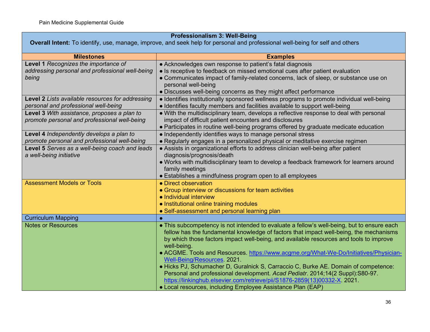### **Professionalism 3: Well-Being Overall Intent:** To identify, use, manage, improve, and seek help for personal and professional well-being for self and others **Milestones Examples Level 1** *Recognizes the importance of addressing personal and professional well-being being* ● Acknowledges own response to patient's fatal diagnosis • Is receptive to feedback on missed emotional cues after patient evaluation ● Communicates impact of family-related concerns, lack of sleep, or substance use on personal well-being • Discusses well-being concerns as they might affect performance **Level 2** *Lists available resources for addressing personal and professional well-being* ● Identifies institutionally sponsored wellness programs to promote individual well-being ● Identifies faculty members and facilities available to support well-being **Level 3** *With assistance, proposes a plan to promote personal and professional well-being* ● With the multidisciplinary team, develops a reflective response to deal with personal impact of difficult patient encounters and disclosures ● Participates in routine well-being programs offered by graduate medicate education **Level 4** *Independently develops a plan to promote personal and professional well-being*  ● Independently identifies ways to manage personal stress ● Regularly engages in a personalized physical or meditative exercise regimen **Level 5** *Serves as a well-being coach and leads a well-being initiative* ● Assists in organizational efforts to address clinician well-being after patient diagnosis/prognosis/death ● Works with multidisciplinary team to develop a feedback framework for learners around family meetings ● Establishes a mindfulness program open to all employees Assessment Models or Tools **Assessment Models of Tools Assessment Models** or Tools • Group interview or discussions for team activities ● Individual interview ● Institutional online training modules • Self-assessment and personal learning plan Curriculum Mapping Notes or Resources **All and This subcompetency** is not intended to evaluate a fellow's well-being, but to ensure each fellow has the fundamental knowledge of factors that impact well-being, the mechanisms by which those factors impact well-being, and available resources and tools to improve well-being. ● ACGME. Tools and Resources. [https://www.acgme.org/What-We-Do/Initiatives/Physician-](https://www.acgme.org/What-We-Do/Initiatives/Physician-Well-Being/Resources)[Well-Being/Resources.](https://www.acgme.org/What-We-Do/Initiatives/Physician-Well-Being/Resources) 2021. ● Hicks PJ, Schumacher D, Guralnick S, Carraccio C, Burke AE. Domain of competence: Personal and professional development. *Acad Pediatr*. 2014;14(2 Suppl):S80-97. [https://linkinghub.elsevier.com/retrieve/pii/S1876-2859\(13\)00332-X.](https://linkinghub.elsevier.com/retrieve/pii/S1876-2859(13)00332-X) 2021. ● Local resources, including Employee Assistance Plan (EAP)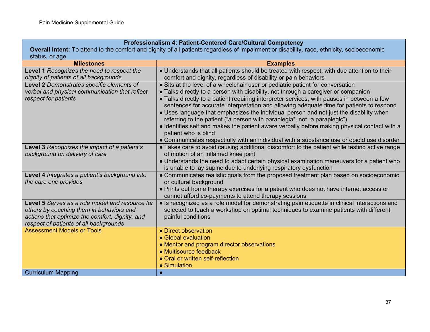### **Professionalism 4: Patient-Centered Care/Cultural Competency**

**Overall Intent:** To attend to the comfort and dignity of all patients regardless of impairment or disability, race, ethnicity, socioeconomic status, or age

| <b>Milestones</b>                               | <b>Examples</b>                                                                               |
|-------------------------------------------------|-----------------------------------------------------------------------------------------------|
| Level 1 Recognizes the need to respect the      | • Understands that all patients should be treated with respect, with due attention to their   |
| dignity of patients of all backgrounds          | comfort and dignity, regardless of disability or pain behaviors                               |
| Level 2 Demonstrates specific elements of       | • Sits at the level of a wheelchair user or pediatric patient for conversation                |
| verbal and physical communication that reflect  | • Talks directly to a person with disability, not through a caregiver or companion            |
| respect for patients                            | • Talks directly to a patient requiring interpreter services, with pauses in between a few    |
|                                                 | sentences for accurate interpretation and allowing adequate time for patients to respond      |
|                                                 | • Uses language that emphasizes the individual person and not just the disability when        |
|                                                 | referring to the patient ("a person with paraplegia", not "a paraplegic")                     |
|                                                 | • Identifies self and makes the patient aware verbally before making physical contact with a  |
|                                                 | patient who is blind                                                                          |
|                                                 | • Communicates respectfully with an individual with a substance use or opioid use disorder    |
| Level 3 Recognizes the impact of a patient's    | • Takes care to avoid causing additional discomfort to the patient while testing active range |
| background on delivery of care                  | of motion of an inflamed knee joint                                                           |
|                                                 | . Understands the need to adapt certain physical examination maneuvers for a patient who      |
|                                                 | is unable to lay supine due to underlying respiratory dysfunction                             |
| Level 4 Integrates a patient's background into  | • Communicates realistic goals from the proposed treatment plan based on socioeconomic        |
| the care one provides                           | or cultural background                                                                        |
|                                                 | . Prints out home therapy exercises for a patient who does not have internet access or        |
|                                                 | cannot afford co-payments to attend therapy sessions                                          |
| Level 5 Serves as a role model and resource for | • Is recognized as a role model for demonstrating pain etiquette in clinical interactions and |
| others by coaching them in behaviors and        | selected to teach a workshop on optimal techniques to examine patients with different         |
| actions that optimize the comfort, dignity, and | painful conditions                                                                            |
| respect of patients of all backgrounds          |                                                                                               |
| <b>Assessment Models or Tools</b>               | • Direct observation                                                                          |
|                                                 | • Global evaluation                                                                           |
|                                                 | • Mentor and program director observations                                                    |
|                                                 | • Multisource feedback                                                                        |
|                                                 | • Oral or written self-reflection                                                             |
|                                                 | • Simulation                                                                                  |
| <b>Curriculum Mapping</b>                       |                                                                                               |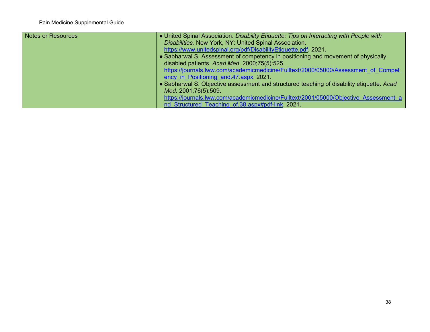| Notes or Resources | • United Spinal Association. Disability Etiquette: Tips on Interacting with People with   |
|--------------------|-------------------------------------------------------------------------------------------|
|                    | Disabilities. New York, NY: United Spinal Association.                                    |
|                    | https://www.unitedspinal.org/pdf/DisabilityEtiquette.pdf. 2021.                           |
|                    | • Sabharwal S. Assessment of competency in positioning and movement of physically         |
|                    | disabled patients. Acad Med. 2000;75(5):525.                                              |
|                    | https://journals.lww.com/academicmedicine/Fulltext/2000/05000/Assessment of Compet        |
|                    | ency in Positioning and 47 aspx 2021.                                                     |
|                    | • Sabharwal S. Objective assessment and structured teaching of disability etiquette. Acad |
|                    | Med. 2001;76(5):509.                                                                      |
|                    | https://journals.lww.com/academicmedicine/Fulltext/2001/05000/Objective Assessment a      |
|                    | nd Structured Teaching of.38.aspx#pdf-link. 2021.                                         |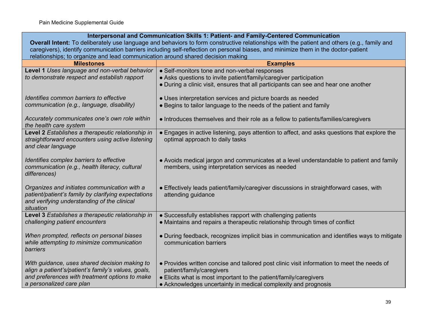| Interpersonal and Communication Skills 1: Patient- and Family-Centered Communication                                                        |                                                                                              |  |
|---------------------------------------------------------------------------------------------------------------------------------------------|----------------------------------------------------------------------------------------------|--|
| Overall Intent: To deliberately use language and behaviors to form constructive relationships with the patient and others (e.g., family and |                                                                                              |  |
| caregivers), identify communication barriers including self-reflection on personal biases, and minimize them in the doctor-patient          |                                                                                              |  |
| relationships; to organize and lead communication around shared decision making                                                             |                                                                                              |  |
| <b>Milestones</b>                                                                                                                           | <b>Examples</b>                                                                              |  |
| Level 1 Uses language and non-verbal behavior                                                                                               | • Self-monitors tone and non-verbal responses                                                |  |
| to demonstrate respect and establish rapport                                                                                                | • Asks questions to invite patient/family/caregiver participation                            |  |
|                                                                                                                                             | • During a clinic visit, ensures that all participants can see and hear one another          |  |
|                                                                                                                                             |                                                                                              |  |
| Identifies common barriers to effective                                                                                                     | • Uses interpretation services and picture boards as needed                                  |  |
| communication (e.g., language, disability)                                                                                                  | • Begins to tailor language to the needs of the patient and family                           |  |
|                                                                                                                                             |                                                                                              |  |
| Accurately communicates one's own role within                                                                                               | • Introduces themselves and their role as a fellow to patients/families/caregivers           |  |
| the health care system                                                                                                                      |                                                                                              |  |
| Level 2 Establishes a therapeutic relationship in                                                                                           | • Engages in active listening, pays attention to affect, and asks questions that explore the |  |
| straightforward encounters using active listening                                                                                           | optimal approach to daily tasks                                                              |  |
| and clear language                                                                                                                          |                                                                                              |  |
|                                                                                                                                             |                                                                                              |  |
| Identifies complex barriers to effective                                                                                                    | • Avoids medical jargon and communicates at a level understandable to patient and family     |  |
| communication (e.g., health literacy, cultural                                                                                              | members, using interpretation services as needed                                             |  |
| differences)                                                                                                                                |                                                                                              |  |
|                                                                                                                                             |                                                                                              |  |
| Organizes and initiates communication with a                                                                                                | • Effectively leads patient/family/caregiver discussions in straightforward cases, with      |  |
| patient/patient's family by clarifying expectations                                                                                         | attending guidance                                                                           |  |
| and verifying understanding of the clinical                                                                                                 |                                                                                              |  |
| situation                                                                                                                                   |                                                                                              |  |
| Level 3 Establishes a therapeutic relationship in                                                                                           | • Successfully establishes rapport with challenging patients                                 |  |
| challenging patient encounters                                                                                                              | • Maintains and repairs a therapeutic relationship through times of conflict                 |  |
|                                                                                                                                             |                                                                                              |  |
| When prompted, reflects on personal biases                                                                                                  | • During feedback, recognizes implicit bias in communication and identifies ways to mitigate |  |
| while attempting to minimize communication                                                                                                  | communication barriers                                                                       |  |
| barriers                                                                                                                                    |                                                                                              |  |
|                                                                                                                                             |                                                                                              |  |
| With guidance, uses shared decision making to                                                                                               | . Provides written concise and tailored post clinic visit information to meet the needs of   |  |
| align a patient's/patient's family's values, goals,                                                                                         | patient/family/caregivers                                                                    |  |
| and preferences with treatment options to make                                                                                              | • Elicits what is most important to the patient/family/caregivers                            |  |
| a personalized care plan                                                                                                                    | • Acknowledges uncertainty in medical complexity and prognosis                               |  |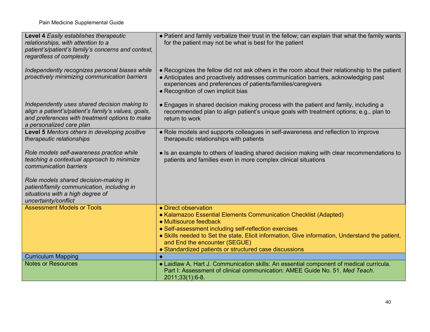| Level 4 Easily establishes therapeutic<br>relationships, with attention to a<br>patient's/patient's family's concerns and context,                                                | • Patient and family verbalize their trust in the fellow; can explain that what the family wants<br>for the patient may not be what is best for the patient                                                                                                                               |
|-----------------------------------------------------------------------------------------------------------------------------------------------------------------------------------|-------------------------------------------------------------------------------------------------------------------------------------------------------------------------------------------------------------------------------------------------------------------------------------------|
| regardless of complexity                                                                                                                                                          |                                                                                                                                                                                                                                                                                           |
| Independently recognizes personal biases while<br>proactively minimizing communication barriers                                                                                   | • Recognizes the fellow did not ask others in the room about their relationship to the patient<br>• Anticipates and proactively addresses communication barriers, acknowledging past<br>experiences and preferences of patients/families/caregivers<br>• Recognition of own implicit bias |
| Independently uses shared decision making to<br>align a patient's/patient's family's values, goals,<br>and preferences with treatment options to make<br>a personalized care plan | • Engages in shared decision making process with the patient and family, including a<br>recommended plan to align patient's unique goals with treatment options; e.g., plan to<br>return to work                                                                                          |
| Level 5 Mentors others in developing positive<br>therapeutic relationships                                                                                                        | • Role models and supports colleagues in self-awareness and reflection to improve<br>therapeutic relationships with patients                                                                                                                                                              |
| Role models self-awareness practice while<br>teaching a contextual approach to minimize<br>communication barriers                                                                 | • Is an example to others of leading shared decision making with clear recommendations to<br>patients and families even in more complex clinical situations                                                                                                                               |
| Role models shared decision-making in<br>patient/family communication, including in<br>situations with a high degree of<br>uncertainty/conflict                                   |                                                                                                                                                                                                                                                                                           |
| <b>Assessment Models or Tools</b>                                                                                                                                                 | • Direct observation                                                                                                                                                                                                                                                                      |
|                                                                                                                                                                                   | • Kalamazoo Essential Elements Communication Checklist (Adapted)                                                                                                                                                                                                                          |
|                                                                                                                                                                                   | • Multisource feedback<br>• Self-assessment including self-reflection exercises                                                                                                                                                                                                           |
|                                                                                                                                                                                   | • Skills needed to Set the state, Elicit information, Give information, Understand the patient,<br>and End the encounter (SEGUE)                                                                                                                                                          |
|                                                                                                                                                                                   | • Standardized patients or structured case discussions                                                                                                                                                                                                                                    |
| <b>Curriculum Mapping</b>                                                                                                                                                         |                                                                                                                                                                                                                                                                                           |
| <b>Notes or Resources</b>                                                                                                                                                         | . Laidlaw A, Hart J. Communication skills: An essential component of medical curricula.<br>Part I: Assessment of clinical communication: AMEE Guide No. 51. Med Teach.<br>2011;33(1):6-8.                                                                                                 |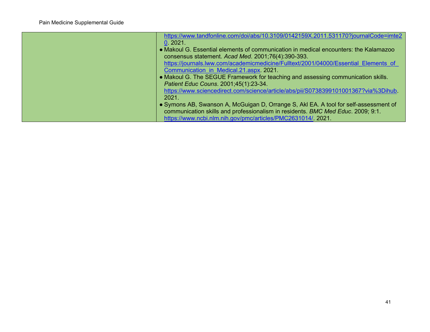| https://www.tandfonline.com/doi/abs/10.3109/0142159X.2011.531170?journalCode=imte2                                                                                                                                                     |
|----------------------------------------------------------------------------------------------------------------------------------------------------------------------------------------------------------------------------------------|
| 0.2021.                                                                                                                                                                                                                                |
| • Makoul G. Essential elements of communication in medical encounters: the Kalamazoo                                                                                                                                                   |
| consensus statement. Acad Med. 2001;76(4):390-393.                                                                                                                                                                                     |
| https://journals.lww.com/academicmedicine/Fulltext/2001/04000/Essential Elements of                                                                                                                                                    |
| Communication in Medical.21.aspx. 2021.                                                                                                                                                                                                |
| • Makoul G. The SEGUE Framework for teaching and assessing communication skills.                                                                                                                                                       |
| Patient Educ Couns. 2001;45(1):23-34.                                                                                                                                                                                                  |
| https://www.sciencedirect.com/science/article/abs/pii/S0738399101001367?via%3Dihub.                                                                                                                                                    |
| 2021.                                                                                                                                                                                                                                  |
| • Symons AB, Swanson A, McGuigan D, Orrange S, Akl EA. A tool for self-assessment of<br>communication skills and professionalism in residents. BMC Med Educ. 2009; 9:1.<br>https://www.ncbi.nlm.nih.gov/pmc/articles/PMC2631014/.2021. |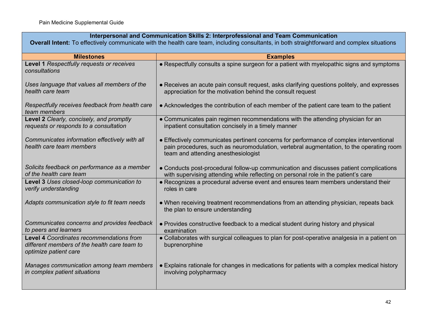## **Interpersonal and Communication Skills 2: Interprofessional and Team Communication**

**Overall Intent:** To effectively communicate with the health care team, including consultants, in both straightforward and complex situations

| <b>Milestones</b>                                                                                                 | <b>Examples</b>                                                                                                                                                                                                           |
|-------------------------------------------------------------------------------------------------------------------|---------------------------------------------------------------------------------------------------------------------------------------------------------------------------------------------------------------------------|
| Level 1 Respectfully requests or receives<br>consultations                                                        | • Respectfully consults a spine surgeon for a patient with myelopathic signs and symptoms                                                                                                                                 |
| Uses language that values all members of the<br>health care team                                                  | • Receives an acute pain consult request, asks clarifying questions politely, and expresses<br>appreciation for the motivation behind the consult request                                                                 |
| Respectfully receives feedback from health care<br>team members                                                   | • Acknowledges the contribution of each member of the patient care team to the patient                                                                                                                                    |
| Level 2 Clearly, concisely, and promptly<br>requests or responds to a consultation                                | • Communicates pain regimen recommendations with the attending physician for an<br>inpatient consultation concisely in a timely manner                                                                                    |
| Communicates information effectively with all<br>health care team members                                         | • Effectively communicates pertinent concerns for performance of complex interventional<br>pain procedures, such as neuromodulation, vertebral augmentation, to the operating room<br>team and attending anesthesiologist |
| Solicits feedback on performance as a member<br>of the health care team                                           | • Conducts post-procedural follow-up communication and discusses patient complications<br>with supervising attending while reflecting on personal role in the patient's care                                              |
| Level 3 Uses closed-loop communication to<br>verify understanding                                                 | • Recognizes a procedural adverse event and ensures team members understand their<br>roles in care                                                                                                                        |
| Adapts communication style to fit team needs                                                                      | • When receiving treatment recommendations from an attending physician, repeats back<br>the plan to ensure understanding                                                                                                  |
| Communicates concerns and provides feedback<br>to peers and learners                                              | • Provides constructive feedback to a medical student during history and physical<br>examination                                                                                                                          |
| Level 4 Coordinates recommendations from<br>different members of the health care team to<br>optimize patient care | • Collaborates with surgical colleagues to plan for post-operative analgesia in a patient on<br>buprenorphine                                                                                                             |
| Manages communication among team members<br>in complex patient situations                                         | • Explains rationale for changes in medications for patients with a complex medical history<br>involving polypharmacy                                                                                                     |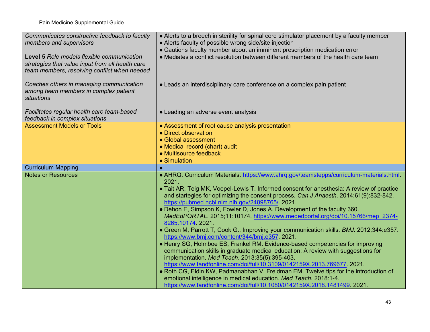| Communicates constructive feedback to faculty                                                                                                  | • Alerts to a breech in sterility for spinal cord stimulator placement by a faculty member                                                                                                                                                                                                                                                                                                                                                                                                                                                                                                                                                                                                                                                                                                                                                                                                                                                                                                                                                                                                                                                                                                                               |  |
|------------------------------------------------------------------------------------------------------------------------------------------------|--------------------------------------------------------------------------------------------------------------------------------------------------------------------------------------------------------------------------------------------------------------------------------------------------------------------------------------------------------------------------------------------------------------------------------------------------------------------------------------------------------------------------------------------------------------------------------------------------------------------------------------------------------------------------------------------------------------------------------------------------------------------------------------------------------------------------------------------------------------------------------------------------------------------------------------------------------------------------------------------------------------------------------------------------------------------------------------------------------------------------------------------------------------------------------------------------------------------------|--|
| members and supervisors                                                                                                                        | • Alerts faculty of possible wrong side/site injection                                                                                                                                                                                                                                                                                                                                                                                                                                                                                                                                                                                                                                                                                                                                                                                                                                                                                                                                                                                                                                                                                                                                                                   |  |
|                                                                                                                                                | • Cautions faculty member about an imminent prescription medication error                                                                                                                                                                                                                                                                                                                                                                                                                                                                                                                                                                                                                                                                                                                                                                                                                                                                                                                                                                                                                                                                                                                                                |  |
| Level 5 Role models flexible communication<br>strategies that value input from all health care<br>team members, resolving conflict when needed | • Mediates a conflict resolution between different members of the health care team                                                                                                                                                                                                                                                                                                                                                                                                                                                                                                                                                                                                                                                                                                                                                                                                                                                                                                                                                                                                                                                                                                                                       |  |
| Coaches others in managing communication<br>among team members in complex patient<br>situations                                                | • Leads an interdisciplinary care conference on a complex pain patient                                                                                                                                                                                                                                                                                                                                                                                                                                                                                                                                                                                                                                                                                                                                                                                                                                                                                                                                                                                                                                                                                                                                                   |  |
| Facilitates regular health care team-based<br>feedback in complex situations                                                                   | • Leading an adverse event analysis                                                                                                                                                                                                                                                                                                                                                                                                                                                                                                                                                                                                                                                                                                                                                                                                                                                                                                                                                                                                                                                                                                                                                                                      |  |
| <b>Assessment Models or Tools</b>                                                                                                              | • Assessment of root cause analysis presentation                                                                                                                                                                                                                                                                                                                                                                                                                                                                                                                                                                                                                                                                                                                                                                                                                                                                                                                                                                                                                                                                                                                                                                         |  |
|                                                                                                                                                | • Direct observation                                                                                                                                                                                                                                                                                                                                                                                                                                                                                                                                                                                                                                                                                                                                                                                                                                                                                                                                                                                                                                                                                                                                                                                                     |  |
|                                                                                                                                                | • Global assessment                                                                                                                                                                                                                                                                                                                                                                                                                                                                                                                                                                                                                                                                                                                                                                                                                                                                                                                                                                                                                                                                                                                                                                                                      |  |
|                                                                                                                                                | • Medical record (chart) audit<br>• Multisource feedback                                                                                                                                                                                                                                                                                                                                                                                                                                                                                                                                                                                                                                                                                                                                                                                                                                                                                                                                                                                                                                                                                                                                                                 |  |
|                                                                                                                                                | • Simulation                                                                                                                                                                                                                                                                                                                                                                                                                                                                                                                                                                                                                                                                                                                                                                                                                                                                                                                                                                                                                                                                                                                                                                                                             |  |
|                                                                                                                                                |                                                                                                                                                                                                                                                                                                                                                                                                                                                                                                                                                                                                                                                                                                                                                                                                                                                                                                                                                                                                                                                                                                                                                                                                                          |  |
| <b>Curriculum Mapping</b><br><b>Notes or Resources</b>                                                                                         | • AHRQ. Curriculum Materials. https://www.ahrq.gov/teamstepps/curriculum-materials.html.<br>2021.<br>• Tait AR, Teig MK, Voepel-Lewis T. Informed consent for anesthesia: A review of practice<br>and startegies for optimizing the consent process. Can J Anaesth. 2014;61(9):832-842.<br>https://pubmed.ncbi.nlm.nih.gov/24898765/. 2021.<br>• Dehon E, Simpson K, Fowler D, Jones A. Development of the faculty 360.<br>MedEdPORTAL. 2015;11:10174. https://www.mededportal.org/doi/10.15766/mep 2374-<br>8265.10174.2021.<br>• Green M, Parrott T, Cook G., Improving your communication skills. BMJ. 2012;344:e357.<br>https://www.bmj.com/content/344/bmj.e357.2021.<br>• Henry SG, Holmboe ES, Frankel RM. Evidence-based competencies for improving<br>communication skills in graduate medical education: A review with suggestions for<br>implementation. Med Teach. 2013;35(5):395-403.<br>https://www.tandfonline.com/doi/full/10.3109/0142159X.2013.769677. 2021.<br>. Roth CG, Eldin KW, Padmanabhan V, Freidman EM. Twelve tips for the introduction of<br>emotional intelligence in medical education. Med Teach. 2018:1-4.<br>https://www.tandfonline.com/doi/full/10.1080/0142159X.2018.1481499. 2021. |  |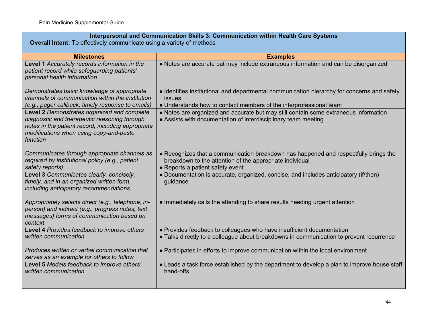# **Interpersonal and Communication Skills 3: Communication within Health Care Systems**

**Overall Intent:** To effectively communicate using a variety of methods

| <b>Milestones</b>                                                                                                                                                                                        | <b>Examples</b>                                                                                                                                                                      |
|----------------------------------------------------------------------------------------------------------------------------------------------------------------------------------------------------------|--------------------------------------------------------------------------------------------------------------------------------------------------------------------------------------|
| Level 1 Accurately records information in the<br>patient record while safeguarding patients'<br>personal health information                                                                              | • Notes are accurate but may include extraneous information and can be disorganized                                                                                                  |
| Demonstrates basic knowledge of appropriate<br>channels of communication within the institution<br>(e.g., pager callback, timely response to emails)                                                     | • Identifies institutional and departmental communication hierarchy for concerns and safety<br>issues<br>• Understands how to contact members of the interprofessional team          |
| Level 2 Demonstrates organized and complete<br>diagnostic and therapeutic reasoning through<br>notes in the patient record, including appropriate<br>modifications when using copy-and-paste<br>function | • Notes are organized and accurate but may still contain some extraneous information<br>• Assists with documentation of interdisciplinary team meeting                               |
| Communicates through appropriate channels as<br>required by institutional policy (e.g., patient<br>safety reports)                                                                                       | • Recognizes that a communication breakdown has happened and respectfully brings the<br>breakdown to the attention of the appropriate individual<br>• Reports a patient safety event |
| Level 3 Communicates clearly, concisely,<br>timely, and in an organized written form,<br>including anticipatory recommendations                                                                          | • Documentation is accurate, organized, concise, and includes anticipatory (if/then)<br>guidance                                                                                     |
| Appropriately selects direct (e.g., telephone, in-<br>person) and indirect (e.g., progress notes, text<br>messages) forms of communication based on<br>context                                           | • Immediately calls the attending to share results needing urgent attention                                                                                                          |
| Level 4 Provides feedback to improve others'<br>written communication                                                                                                                                    | • Provides feedback to colleagues who have insufficient documentation<br>• Talks directly to a colleague about breakdowns in communication to prevent recurrence                     |
| Produces written or verbal communication that<br>serves as an example for others to follow                                                                                                               | • Participates in efforts to improve communication within the local environment                                                                                                      |
| Level 5 Models feedback to improve others'<br>written communication                                                                                                                                      | • Leads a task force established by the department to develop a plan to improve house staff<br>hand-offs                                                                             |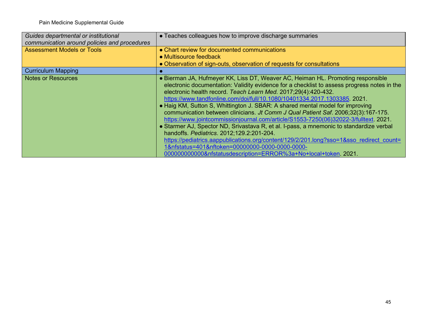| Guides departmental or institutional<br>communication around policies and procedures | • Teaches colleagues how to improve discharge summaries                                                                                                                                                                                                                                                                                                                                                                                                                                                                                                                                                                                                                                |
|--------------------------------------------------------------------------------------|----------------------------------------------------------------------------------------------------------------------------------------------------------------------------------------------------------------------------------------------------------------------------------------------------------------------------------------------------------------------------------------------------------------------------------------------------------------------------------------------------------------------------------------------------------------------------------------------------------------------------------------------------------------------------------------|
| <b>Assessment Models or Tools</b>                                                    | • Chart review for documented communications<br>• Multisource feedback                                                                                                                                                                                                                                                                                                                                                                                                                                                                                                                                                                                                                 |
|                                                                                      | • Observation of sign-outs, observation of requests for consultations                                                                                                                                                                                                                                                                                                                                                                                                                                                                                                                                                                                                                  |
| <b>Curriculum Mapping</b>                                                            |                                                                                                                                                                                                                                                                                                                                                                                                                                                                                                                                                                                                                                                                                        |
| <b>Notes or Resources</b>                                                            | • Bierman JA, Hufmeyer KK, Liss DT, Weaver AC, Heiman HL. Promoting responsible<br>electronic documentation: Validity evidence for a checklist to assess progress notes in the<br>electronic health record. Teach Learn Med. 2017;29(4):420-432.<br>https://www.tandfonline.com/doi/full/10.1080/10401334.2017.1303385. 2021.<br>• Haig KM, Sutton S, Whittington J. SBAR: A shared mental model for improving<br>communication between clinicians. Jt Comm J Qual Patient Saf. 2006;32(3):167-175.<br>https://www.jointcommissionjournal.com/article/S1553-7250(06)32022-3/fulltext. 2021.<br>• Starmer AJ, Spector ND, Srivastava R, et al. I-pass, a mnemonic to standardize verbal |
|                                                                                      | handoffs. Pediatrics. 2012;129.2:201-204.                                                                                                                                                                                                                                                                                                                                                                                                                                                                                                                                                                                                                                              |
|                                                                                      | https://pediatrics.aappublications.org/content/129/2/201.long?sso=1&sso redirect count=<br>1&nfstatus=401&nftoken=00000000-0000-0000-0000-                                                                                                                                                                                                                                                                                                                                                                                                                                                                                                                                             |
|                                                                                      | 000000000000&nfstatusdescription=ERROR%3a+No+local+token. 2021.                                                                                                                                                                                                                                                                                                                                                                                                                                                                                                                                                                                                                        |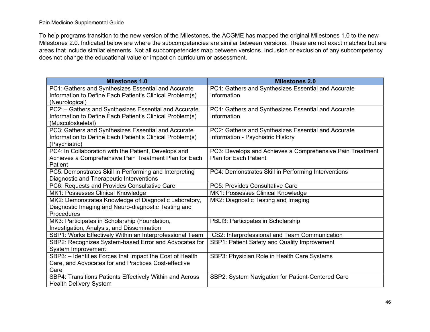To help programs transition to the new version of the Milestones, the ACGME has mapped the original Milestones 1.0 to the new Milestones 2.0. Indicated below are where the subcompetencies are similar between versions. These are not exact matches but are areas that include similar elements. Not all subcompetencies map between versions. Inclusion or exclusion of any subcompetency does not change the educational value or impact on curriculum or assessment.

| <b>Milestones 1.0</b>                                                                                           | <b>Milestones 2.0</b>                                              |
|-----------------------------------------------------------------------------------------------------------------|--------------------------------------------------------------------|
| PC1: Gathers and Synthesizes Essential and Accurate<br>Information to Define Each Patient's Clinical Problem(s) | PC1: Gathers and Synthesizes Essential and Accurate<br>Information |
| (Neurological)                                                                                                  |                                                                    |
| PC2: - Gathers and Synthesizes Essential and Accurate                                                           | PC1: Gathers and Synthesizes Essential and Accurate                |
| Information to Define Each Patient's Clinical Problem(s)                                                        | Information                                                        |
| (Musculoskeletal)                                                                                               |                                                                    |
| PC3: Gathers and Synthesizes Essential and Accurate                                                             | PC2: Gathers and Synthesizes Essential and Accurate                |
| Information to Define Each Patient's Clinical Problem(s)                                                        | Information - Psychiatric History                                  |
| (Psychiatric)                                                                                                   |                                                                    |
| PC4: In Collaboration with the Patient, Develops and                                                            | PC3: Develops and Achieves a Comprehensive Pain Treatment          |
| Achieves a Comprehensive Pain Treatment Plan for Each                                                           | <b>Plan for Each Patient</b>                                       |
| Patient                                                                                                         |                                                                    |
| PC5: Demonstrates Skill in Performing and Interpreting                                                          | PC4: Demonstrates Skill in Performing Interventions                |
| Diagnostic and Therapeutic Interventions                                                                        |                                                                    |
| PC6: Requests and Provides Consultative Care                                                                    | PC5: Provides Consultative Care                                    |
| MK1: Possesses Clinical Knowledge                                                                               | MK1: Possesses Clinical Knowledge                                  |
| MK2: Demonstrates Knowledge of Diagnostic Laboratory,                                                           | MK2: Diagnostic Testing and Imaging                                |
| Diagnostic Imaging and Neuro-diagnostic Testing and                                                             |                                                                    |
| Procedures                                                                                                      |                                                                    |
| MK3: Participates in Scholarship (Foundation,                                                                   | PBLI3: Participates in Scholarship                                 |
| Investigation, Analysis, and Dissemination                                                                      |                                                                    |
| SBP1: Works Effectively Within an Interprofessional Team                                                        | ICS2: Interprofessional and Team Communication                     |
| SBP2: Recognizes System-based Error and Advocates for                                                           | SBP1: Patient Safety and Quality Improvement                       |
| System Improvement                                                                                              |                                                                    |
| SBP3: - Identifies Forces that Impact the Cost of Health                                                        | SBP3: Physician Role in Health Care Systems                        |
| Care, and Advocates for and Practices Cost-effective                                                            |                                                                    |
| Care                                                                                                            |                                                                    |
| SBP4: Transitions Patients Effectively Within and Across                                                        | SBP2: System Navigation for Patient-Centered Care                  |
| <b>Health Delivery System</b>                                                                                   |                                                                    |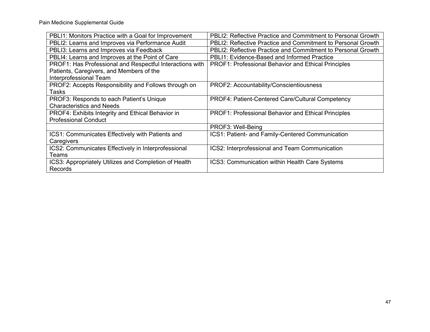| PBLI1: Monitors Practice with a Goal for Improvement     | PBLI2: Reflective Practice and Commitment to Personal Growth        |
|----------------------------------------------------------|---------------------------------------------------------------------|
| PBLI2: Learns and Improves via Performance Audit         | <b>PBLI2: Reflective Practice and Commitment to Personal Growth</b> |
| PBLI3: Learns and Improves via Feedback                  | PBLI2: Reflective Practice and Commitment to Personal Growth        |
| PBLI4: Learns and Improves at the Point of Care          | PBLI1: Evidence-Based and Informed Practice                         |
| PROF1: Has Professional and Respectful Interactions with | PROF1: Professional Behavior and Ethical Principles                 |
| Patients, Caregivers, and Members of the                 |                                                                     |
| Interprofessional Team                                   |                                                                     |
| PROF2: Accepts Responsibility and Follows through on     | PROF2: Accountability/Conscientiousness                             |
| Tasks                                                    |                                                                     |
| PROF3: Responds to each Patient's Unique                 | <b>PROF4: Patient-Centered Care/Cultural Competency</b>             |
| <b>Characteristics and Needs</b>                         |                                                                     |
| PROF4: Exhibits Integrity and Ethical Behavior in        | PROF1: Professional Behavior and Ethical Principles                 |
| <b>Professional Conduct</b>                              |                                                                     |
|                                                          | PROF3: Well-Being                                                   |
| ICS1: Communicates Effectively with Patients and         | ICS1: Patient- and Family-Centered Communication                    |
| Caregivers                                               |                                                                     |
| ICS2: Communicates Effectively in Interprofessional      | ICS2: Interprofessional and Team Communication                      |
| Teams                                                    |                                                                     |
| ICS3: Appropriately Utilizes and Completion of Health    | ICS3: Communication within Health Care Systems                      |
| <b>Records</b>                                           |                                                                     |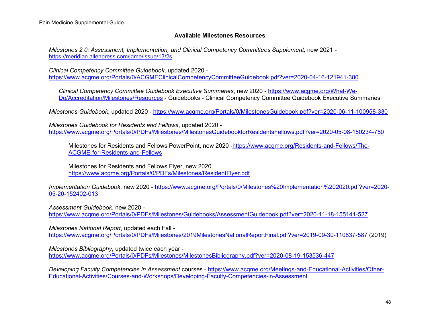### **Available Milestones Resources**

*Milestones 2.0: Assessment, Implementation, and Clinical Competency Committees Supplement,* new 2021 <https://meridian.allenpress.com/jgme/issue/13/2s>

*Clinical Competency Committee Guidebook*, updated 2020 <https://www.acgme.org/Portals/0/ACGMEClinicalCompetencyCommitteeGuidebook.pdf?ver=2020-04-16-121941-380>

*Clinical Competency Committee Guidebook Executive Summaries*, new 2020 - [https://www.acgme.org/What-We-](https://www.acgme.org/What-We-Do/Accreditation/Milestones/Resources)[Do/Accreditation/Milestones/Resources](https://www.acgme.org/What-We-Do/Accreditation/Milestones/Resources) - Guidebooks - Clinical Competency Committee Guidebook Executive Summaries

*Milestones Guidebook*, updated 2020 - <https://www.acgme.org/Portals/0/MilestonesGuidebook.pdf?ver=2020-06-11-100958-330>

*Milestones Guidebook for Residents and Fellows*, updated 2020 <https://www.acgme.org/Portals/0/PDFs/Milestones/MilestonesGuidebookforResidentsFellows.pdf?ver=2020-05-08-150234-750>

Milestones for Residents and Fellows PowerPoint, new 2020 [-https://www.acgme.org/Residents-and-Fellows/The-](https://www.acgme.org/Residents-and-Fellows/The-ACGME-for-Residents-and-Fellows)[ACGME-for-Residents-and-Fellows](https://www.acgme.org/Residents-and-Fellows/The-ACGME-for-Residents-and-Fellows)

Milestones for Residents and Fellows Flyer, new 2020 <https://www.acgme.org/Portals/0/PDFs/Milestones/ResidentFlyer.pdf>

*Implementation Guidebook*, new 2020 - [https://www.acgme.org/Portals/0/Milestones%20Implementation%202020.pdf?ver=2020-](https://www.acgme.org/Portals/0/Milestones%20Implementation%202020.pdf?ver=2020-05-20-152402-013) [05-20-152402-013](https://www.acgme.org/Portals/0/Milestones%20Implementation%202020.pdf?ver=2020-05-20-152402-013)

*Assessment Guidebook*, new 2020 <https://www.acgme.org/Portals/0/PDFs/Milestones/Guidebooks/AssessmentGuidebook.pdf?ver=2020-11-18-155141-527>

*Milestones National Report*, updated each Fall <https://www.acgme.org/Portals/0/PDFs/Milestones/2019MilestonesNationalReportFinal.pdf?ver=2019-09-30-110837-587> (2019)

*Milestones Bibliography*, updated twice each year <https://www.acgme.org/Portals/0/PDFs/Milestones/MilestonesBibliography.pdf?ver=2020-08-19-153536-447>

*Developing Faculty Competencies in Assessment* courses - [https://www.acgme.org/Meetings-and-Educational-Activities/Other-](https://www.acgme.org/Meetings-and-Educational-Activities/Other-Educational-Activities/Courses-and-Workshops/Developing-Faculty-Competencies-in-Assessment)[Educational-Activities/Courses-and-Workshops/Developing-Faculty-Competencies-in-Assessment](https://www.acgme.org/Meetings-and-Educational-Activities/Other-Educational-Activities/Courses-and-Workshops/Developing-Faculty-Competencies-in-Assessment)